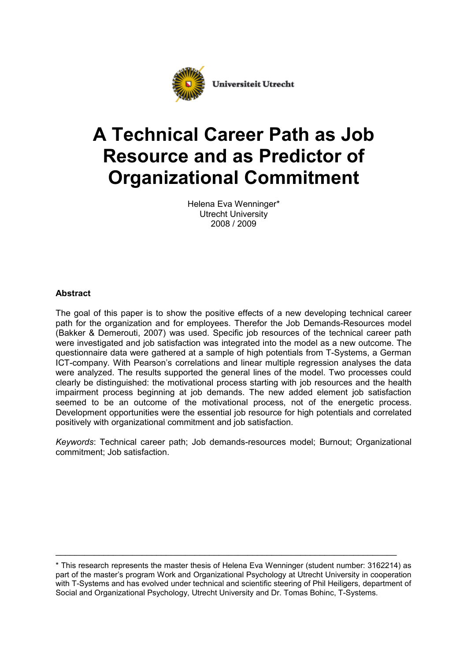

# **A Technical Career Path as Job Resource and as Predictor of Organizational Commitment**

Helena Eva Wenninger\* Utrecht University 2008 / 2009

# **Abstract**

The goal of this paper is to show the positive effects of a new developing technical career path for the organization and for employees. Therefor the Job Demands-Resources model (Bakker & Demerouti, 2007) was used. Specific job resources of the technical career path were investigated and job satisfaction was integrated into the model as a new outcome. The questionnaire data were gathered at a sample of high potentials from T-Systems, a German ICT-company. With Pearson's correlations and linear multiple regression analyses the data were analyzed. The results supported the general lines of the model. Two processes could clearly be distinguished: the motivational process starting with job resources and the health impairment process beginning at job demands. The new added element job satisfaction seemed to be an outcome of the motivational process, not of the energetic process. Development opportunities were the essential job resource for high potentials and correlated positively with organizational commitment and job satisfaction.

*Keywords*: Technical career path; Job demands-resources model; Burnout; Organizational commitment; Job satisfaction.

\_\_\_\_\_\_\_\_\_\_\_\_\_\_\_\_\_\_\_\_\_\_\_\_\_\_\_\_\_\_\_\_\_\_\_\_\_\_\_\_\_\_\_\_\_\_\_\_\_\_\_\_\_\_\_\_\_\_\_\_\_\_\_\_\_\_\_\_\_\_\_

<sup>\*</sup> This research represents the master thesis of Helena Eva Wenninger (student number: 3162214) as part of the master's program Work and Organizational Psychology at Utrecht University in cooperation with T-Systems and has evolved under technical and scientific steering of Phil Heiligers, department of Social and Organizational Psychology, Utrecht University and Dr. Tomas Bohinc, T-Systems.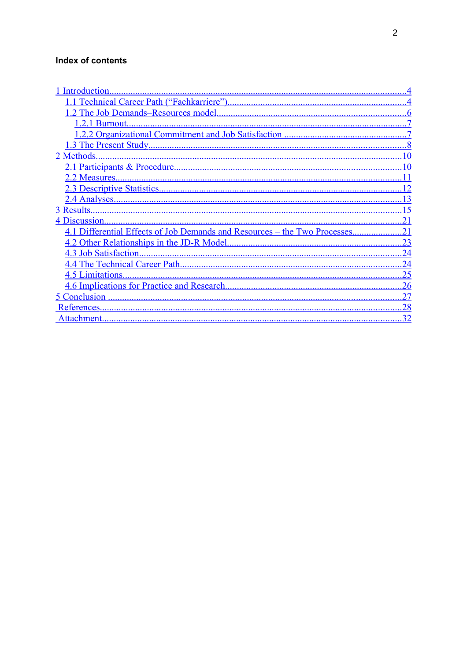# Index of contents

| 4.1 Differential Effects of Job Demands and Resources - the Two Processes |    |
|---------------------------------------------------------------------------|----|
|                                                                           | 23 |
|                                                                           | 24 |
|                                                                           | 24 |
|                                                                           | 25 |
|                                                                           | 26 |
|                                                                           | 27 |
| References                                                                | 28 |
|                                                                           | 32 |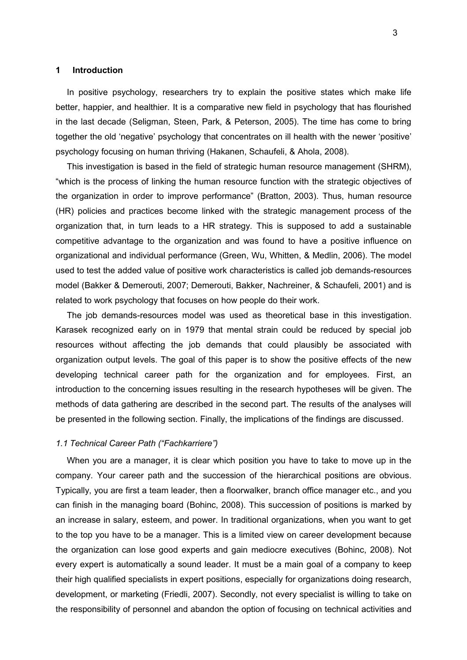#### <span id="page-2-1"></span>**1 Introduction**

In positive psychology, researchers try to explain the positive states which make life better, happier, and healthier. It is a comparative new field in psychology that has flourished in the last decade (Seligman, Steen, Park, & Peterson, 2005). The time has come to bring together the old 'negative' psychology that concentrates on ill health with the newer 'positive' psychology focusing on human thriving (Hakanen, Schaufeli, & Ahola, 2008).

This investigation is based in the field of strategic human resource management (SHRM), "which is the process of linking the human resource function with the strategic objectives of the organization in order to improve performance" (Bratton, 2003). Thus, human resource (HR) policies and practices become linked with the strategic management process of the organization that, in turn leads to a HR strategy. This is supposed to add a sustainable competitive advantage to the organization and was found to have a positive influence on organizational and individual performance (Green, Wu, Whitten, & Medlin, 2006). The model used to test the added value of positive work characteristics is called job demands-resources model (Bakker & Demerouti, 2007; Demerouti, Bakker, Nachreiner, & Schaufeli, 2001) and is related to work psychology that focuses on how people do their work.

The job demands-resources model was used as theoretical base in this investigation. Karasek recognized early on in 1979 that mental strain could be reduced by special job resources without affecting the job demands that could plausibly be associated with organization output levels. The goal of this paper is to show the positive effects of the new developing technical career path for the organization and for employees. First, an introduction to the concerning issues resulting in the research hypotheses will be given. The methods of data gathering are described in the second part. The results of the analyses will be presented in the following section. Finally, the implications of the findings are discussed.

#### <span id="page-2-0"></span>*1.1 Technical Career Path ("Fachkarriere")*

When you are a manager, it is clear which position you have to take to move up in the company. Your career path and the succession of the hierarchical positions are obvious. Typically, you are first a team leader, then a floorwalker, branch office manager etc., and you can finish in the managing board (Bohinc, 2008). This succession of positions is marked by an increase in salary, esteem, and power. In traditional organizations, when you want to get to the top you have to be a manager. This is a limited view on career development because the organization can lose good experts and gain mediocre executives (Bohinc, 2008). Not every expert is automatically a sound leader. It must be a main goal of a company to keep their high qualified specialists in expert positions, especially for organizations doing research, development, or marketing (Friedli, 2007). Secondly, not every specialist is willing to take on the responsibility of personnel and abandon the option of focusing on technical activities and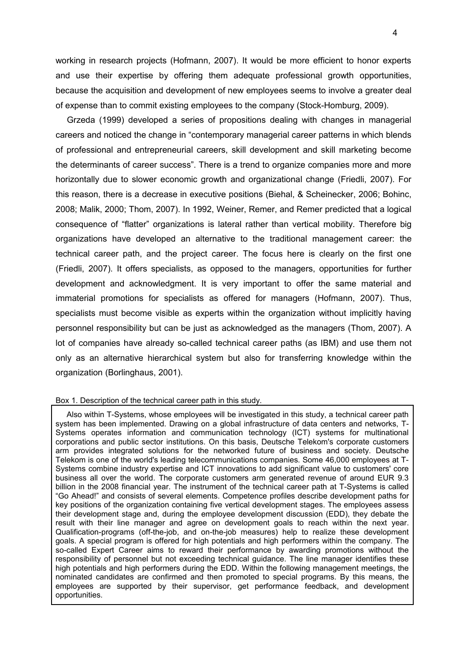working in research projects (Hofmann, 2007). It would be more efficient to honor experts and use their expertise by offering them adequate professional growth opportunities, because the acquisition and development of new employees seems to involve a greater deal of expense than to commit existing employees to the company (Stock-Homburg, 2009).

Grzeda (1999) developed a series of propositions dealing with changes in managerial careers and noticed the change in "contemporary managerial career patterns in which blends of professional and entrepreneurial careers, skill development and skill marketing become the determinants of career success". There is a trend to organize companies more and more horizontally due to slower economic growth and organizational change (Friedli, 2007). For this reason, there is a decrease in executive positions (Biehal, & Scheinecker, 2006; Bohinc, 2008; Malik, 2000; Thom, 2007). In 1992, Weiner, Remer, and Remer predicted that a logical consequence of "flatter" organizations is lateral rather than vertical mobility. Therefore big organizations have developed an alternative to the traditional management career: the technical career path, and the project career. The focus here is clearly on the first one (Friedli, 2007). It offers specialists, as opposed to the managers, opportunities for further development and acknowledgment. It is very important to offer the same material and immaterial promotions for specialists as offered for managers (Hofmann, 2007). Thus, specialists must become visible as experts within the organization without implicitly having personnel responsibility but can be just as acknowledged as the managers (Thom, 2007). A lot of companies have already so-called technical career paths (as IBM) and use them not only as an alternative hierarchical system but also for transferring knowledge within the organization (Borlinghaus, 2001).

#### Box 1. Description of the technical career path in this study.

Also within T-Systems, whose employees will be investigated in this study, a technical career path system has been implemented. Drawing on a global infrastructure of data centers and networks, T-Systems operates information and communication technology (ICT) systems for multinational corporations and public sector institutions. On this basis, Deutsche Telekom's corporate customers arm provides integrated solutions for the networked future of business and society. Deutsche Telekom is one of the world's leading telecommunications companies. Some 46,000 employees at T-Systems combine industry expertise and ICT innovations to add significant value to customers' core business all over the world. The corporate customers arm generated revenue of around EUR 9.3 billion in the 2008 financial year. The instrument of the technical career path at T-Systems is called "Go Ahead!" and consists of several elements. Competence profiles describe development paths for key positions of the organization containing five vertical development stages. The employees assess their development stage and, during the employee development discussion (EDD), they debate the result with their line manager and agree on development goals to reach within the next year. Qualification-programs (off-the-job, and on-the-job measures) help to realize these development goals. A special program is offered for high potentials and high performers within the company. The so-called Expert Career aims to reward their performance by awarding promotions without the responsibility of personnel but not exceeding technical guidance. The line manager identifies these high potentials and high performers during the EDD. Within the following management meetings, the nominated candidates are confirmed and then promoted to special programs. By this means, the employees are supported by their supervisor, get performance feedback, and development opportunities.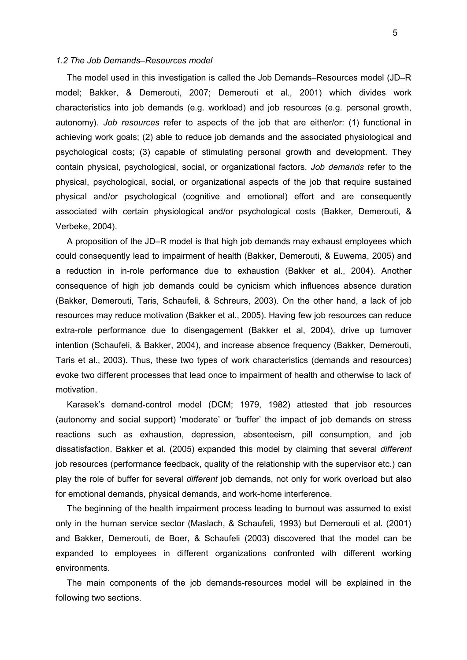#### <span id="page-4-0"></span>*1.2 The Job Demands–Resources model*

The model used in this investigation is called the Job Demands–Resources model (JD–R model; Bakker, & Demerouti, 2007; Demerouti et al., 2001) which divides work characteristics into job demands (e.g. workload) and job resources (e.g. personal growth, autonomy). *Job resources* refer to aspects of the job that are either/or: (1) functional in achieving work goals; (2) able to reduce job demands and the associated physiological and psychological costs; (3) capable of stimulating personal growth and development. They contain physical, psychological, social, or organizational factors. *Job demands* refer to the physical, psychological, social, or organizational aspects of the job that require sustained physical and/or psychological (cognitive and emotional) effort and are consequently associated with certain physiological and/or psychological costs (Bakker, Demerouti, & Verbeke, 2004).

A proposition of the JD–R model is that high job demands may exhaust employees which could consequently lead to impairment of health (Bakker, Demerouti, & Euwema, 2005) and a reduction in in-role performance due to exhaustion (Bakker et al., 2004). Another consequence of high job demands could be cynicism which influences absence duration (Bakker, Demerouti, Taris, Schaufeli, & Schreurs, 2003). On the other hand, a lack of job resources may reduce motivation (Bakker et al., 2005). Having few job resources can reduce extra-role performance due to disengagement (Bakker et al, 2004), drive up turnover intention (Schaufeli, & Bakker, 2004), and increase absence frequency (Bakker, Demerouti, Taris et al., 2003). Thus, these two types of work characteristics (demands and resources) evoke two different processes that lead once to impairment of health and otherwise to lack of motivation.

Karasek's demand-control model (DCM; 1979, 1982) attested that job resources (autonomy and social support) 'moderate' or 'buffer' the impact of job demands on stress reactions such as exhaustion, depression, absenteeism, pill consumption, and job dissatisfaction. Bakker et al. (2005) expanded this model by claiming that several *different* job resources (performance feedback, quality of the relationship with the supervisor etc.) can play the role of buffer for several *different* job demands, not only for work overload but also for emotional demands, physical demands, and work-home interference.

The beginning of the health impairment process leading to burnout was assumed to exist only in the human service sector (Maslach, & Schaufeli, 1993) but Demerouti et al. (2001) and Bakker, Demerouti, de Boer, & Schaufeli (2003) discovered that the model can be expanded to employees in different organizations confronted with different working environments.

The main components of the job demands-resources model will be explained in the following two sections.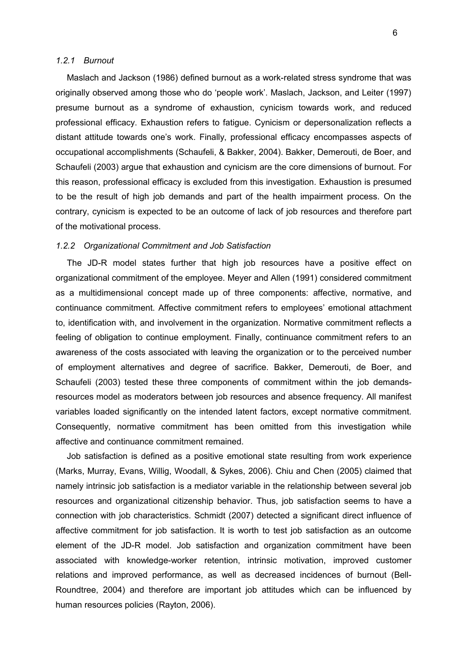#### <span id="page-5-1"></span>*1.2.1 Burnout*

Maslach and Jackson (1986) defined burnout as a work-related stress syndrome that was originally observed among those who do 'people work'. Maslach, Jackson, and Leiter (1997) presume burnout as a syndrome of exhaustion, cynicism towards work, and reduced professional efficacy. Exhaustion refers to fatigue. Cynicism or depersonalization reflects a distant attitude towards one's work. Finally, professional efficacy encompasses aspects of occupational accomplishments (Schaufeli, & Bakker, 2004). Bakker, Demerouti, de Boer, and Schaufeli (2003) argue that exhaustion and cynicism are the core dimensions of burnout. For this reason, professional efficacy is excluded from this investigation. Exhaustion is presumed to be the result of high job demands and part of the health impairment process. On the contrary, cynicism is expected to be an outcome of lack of job resources and therefore part of the motivational process.

#### <span id="page-5-0"></span>*1.2.2 Organizational Commitment and Job Satisfaction*

The JD-R model states further that high job resources have a positive effect on organizational commitment of the employee. Meyer and Allen (1991) considered commitment as a multidimensional concept made up of three components: affective, normative, and continuance commitment. Affective commitment refers to employees' emotional attachment to, identification with, and involvement in the organization. Normative commitment reflects a feeling of obligation to continue employment. Finally, continuance commitment refers to an awareness of the costs associated with leaving the organization or to the perceived number of employment alternatives and degree of sacrifice. Bakker, Demerouti, de Boer, and Schaufeli (2003) tested these three components of commitment within the job demandsresources model as moderators between job resources and absence frequency. All manifest variables loaded significantly on the intended latent factors, except normative commitment. Consequently, normative commitment has been omitted from this investigation while affective and continuance commitment remained.

Job satisfaction is defined as a positive emotional state resulting from work experience (Marks, Murray, Evans, Willig, Woodall, & Sykes, 2006). Chiu and Chen (2005) claimed that namely intrinsic job satisfaction is a mediator variable in the relationship between several job resources and organizational citizenship behavior. Thus, job satisfaction seems to have a connection with job characteristics. Schmidt (2007) detected a significant direct influence of affective commitment for job satisfaction. It is worth to test job satisfaction as an outcome element of the JD-R model. Job satisfaction and organization commitment have been associated with knowledge-worker retention, intrinsic motivation, improved customer relations and improved performance, as well as decreased incidences of burnout (Bell-Roundtree, 2004) and therefore are important job attitudes which can be influenced by human resources policies (Rayton, 2006).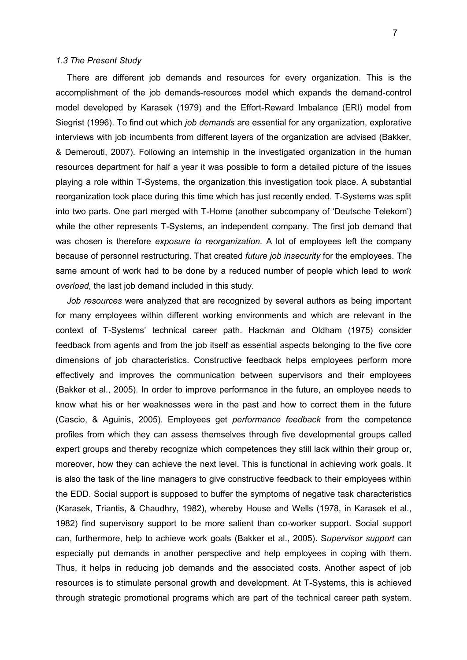#### <span id="page-6-0"></span>*1.3 The Present Study*

There are different job demands and resources for every organization. This is the accomplishment of the job demands-resources model which expands the demand-control model developed by Karasek (1979) and the Effort-Reward Imbalance (ERI) model from Siegrist (1996). To find out which *job demands* are essential for any organization, explorative interviews with job incumbents from different layers of the organization are advised (Bakker, & Demerouti, 2007). Following an internship in the investigated organization in the human resources department for half a year it was possible to form a detailed picture of the issues playing a role within T-Systems, the organization this investigation took place. A substantial reorganization took place during this time which has just recently ended. T-Systems was split into two parts. One part merged with T-Home (another subcompany of 'Deutsche Telekom') while the other represents T-Systems, an independent company. The first job demand that was chosen is therefore *exposure to reorganization.* A lot of employees left the company because of personnel restructuring. That created *future job insecurity* for the employees. The same amount of work had to be done by a reduced number of people which lead to *work overload,* the last job demand included in this study.

*Job resources* were analyzed that are recognized by several authors as being important for many employees within different working environments and which are relevant in the context of T-Systems' technical career path. Hackman and Oldham (1975) consider feedback from agents and from the job itself as essential aspects belonging to the five core dimensions of job characteristics. Constructive feedback helps employees perform more effectively and improves the communication between supervisors and their employees (Bakker et al., 2005). In order to improve performance in the future, an employee needs to know what his or her weaknesses were in the past and how to correct them in the future (Cascio, & Aguinis, 2005). Employees get *performance feedback* from the competence profiles from which they can assess themselves through five developmental groups called expert groups and thereby recognize which competences they still lack within their group or, moreover, how they can achieve the next level. This is functional in achieving work goals. It is also the task of the line managers to give constructive feedback to their employees within the EDD. Social support is supposed to buffer the symptoms of negative task characteristics (Karasek, Triantis, & Chaudhry, 1982), whereby House and Wells (1978, in Karasek et al., 1982) find supervisory support to be more salient than co-worker support. Social support can, furthermore, help to achieve work goals (Bakker et al., 2005). S*upervisor support* can especially put demands in another perspective and help employees in coping with them. Thus, it helps in reducing job demands and the associated costs. Another aspect of job resources is to stimulate personal growth and development. At T-Systems, this is achieved through strategic promotional programs which are part of the technical career path system.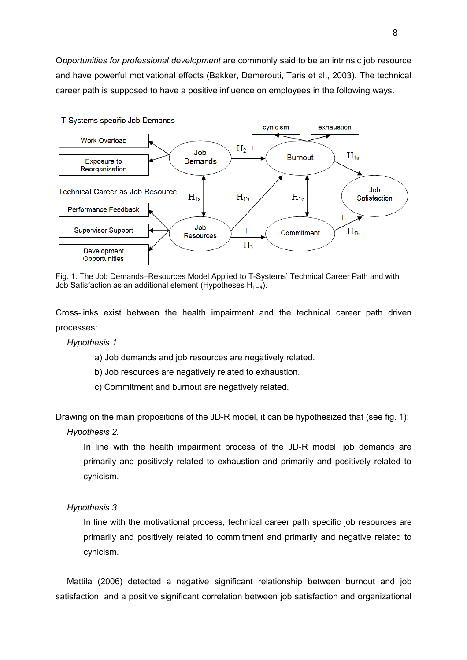O*pportunities for professional development* are commonly said to be an intrinsic job resource and have powerful motivational effects (Bakker, Demerouti, Taris et al., 2003). The technical career path is supposed to have a positive influence on employees in the following ways.



Fig. 1. The Job Demands–Resources Model Applied to T-Systems' Technical Career Path and with Job Satisfaction as an additional element (Hypotheses  $H_{1-4}$ ).

Cross-links exist between the health impairment and the technical career path driven processes:

*Hypothesis 1*.

- a) Job demands and job resources are negatively related.
- b) Job resources are negatively related to exhaustion.
- c) Commitment and burnout are negatively related.

Drawing on the main propositions of the JD-R model, it can be hypothesized that (see fig. 1):

*Hypothesis 2.*

In line with the health impairment process of the JD-R model, job demands are primarily and positively related to exhaustion and primarily and positively related to cynicism.

*Hypothesis 3*.

In line with the motivational process, technical career path specific job resources are primarily and positively related to commitment and primarily and negative related to cynicism.

Mattila (2006) detected a negative significant relationship between burnout and job satisfaction, and a positive significant correlation between job satisfaction and organizational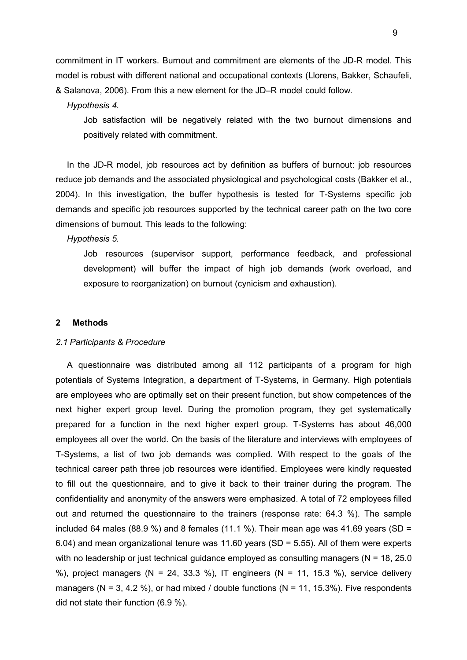commitment in IT workers. Burnout and commitment are elements of the JD-R model. This model is robust with different national and occupational contexts (Llorens, Bakker, Schaufeli, & Salanova, 2006). From this a new element for the JD–R model could follow.

#### *Hypothesis 4.*

Job satisfaction will be negatively related with the two burnout dimensions and positively related with commitment.

In the JD-R model, job resources act by definition as buffers of burnout: job resources reduce job demands and the associated physiological and psychological costs (Bakker et al., 2004). In this investigation, the buffer hypothesis is tested for T-Systems specific job demands and specific job resources supported by the technical career path on the two core dimensions of burnout. This leads to the following:

*Hypothesis 5.*

Job resources (supervisor support, performance feedback, and professional development) will buffer the impact of high job demands (work overload, and exposure to reorganization) on burnout (cynicism and exhaustion).

#### <span id="page-8-1"></span>**2 Methods**

#### <span id="page-8-0"></span>*2.1 Participants & Procedure*

A questionnaire was distributed among all 112 participants of a program for high potentials of Systems Integration, a department of T-Systems, in Germany. High potentials are employees who are optimally set on their present function, but show competences of the next higher expert group level. During the promotion program, they get systematically prepared for a function in the next higher expert group. T-Systems has about 46,000 employees all over the world. On the basis of the literature and interviews with employees of T-Systems, a list of two job demands was complied. With respect to the goals of the technical career path three job resources were identified. Employees were kindly requested to fill out the questionnaire, and to give it back to their trainer during the program. The confidentiality and anonymity of the answers were emphasized. A total of 72 employees filled out and returned the questionnaire to the trainers (response rate: 64.3 %). The sample included 64 males (88.9 %) and 8 females (11.1 %). Their mean age was 41.69 years (SD = 6.04) and mean organizational tenure was 11.60 years (SD = 5.55). All of them were experts with no leadership or just technical guidance employed as consulting managers ( $N = 18, 25.0$ ) %), project managers (N = 24, 33.3 %), IT engineers (N = 11, 15.3 %), service delivery managers ( $N = 3, 4.2$  %), or had mixed / double functions ( $N = 11, 15.3$ %). Five respondents did not state their function (6.9 %).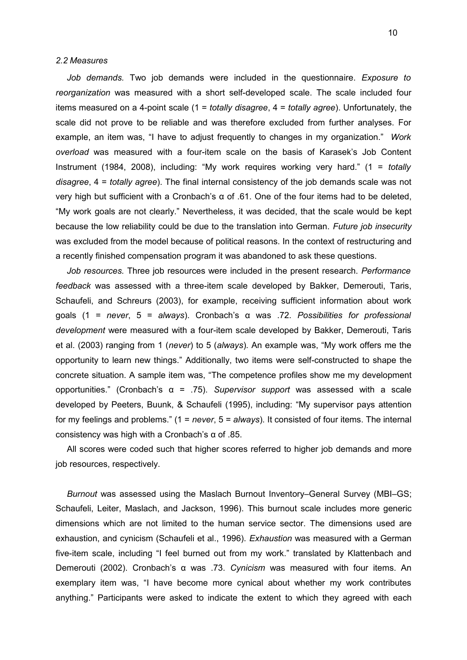#### <span id="page-9-0"></span>*2.2 Measures*

*Job demands.* Two job demands were included in the questionnaire. *Exposure to reorganization* was measured with a short self-developed scale. The scale included four items measured on a 4-point scale (1 = *totally disagree*, 4 = *totally agree*). Unfortunately, the scale did not prove to be reliable and was therefore excluded from further analyses. For example, an item was, "I have to adjust frequently to changes in my organization." *Work overload* was measured with a four-item scale on the basis of Karasek's Job Content Instrument (1984, 2008), including: "My work requires working very hard." (1 = *totally disagree*, 4 = *totally agree*). The final internal consistency of the job demands scale was not very high but sufficient with a Cronbach's α of .61. One of the four items had to be deleted, "My work goals are not clearly." Nevertheless, it was decided, that the scale would be kept because the low reliability could be due to the translation into German. *Future job insecurity* was excluded from the model because of political reasons. In the context of restructuring and a recently finished compensation program it was abandoned to ask these questions.

*Job resources.* Three job resources were included in the present research. *Performance feedback* was assessed with a three-item scale developed by Bakker, Demerouti, Taris, Schaufeli, and Schreurs (2003), for example, receiving sufficient information about work goals (1 = *never*, 5 = *always*). Cronbach's α was .72. *Possibilities for professional development* were measured with a four-item scale developed by Bakker, Demerouti, Taris et al. (2003) ranging from 1 (*never*) to 5 (*always*)*.* An example was, "My work offers me the opportunity to learn new things." Additionally, two items were self-constructed to shape the concrete situation. A sample item was, "The competence profiles show me my development opportunities." (Cronbach's α = .75). *Supervisor support* was assessed with a scale developed by Peeters, Buunk, & Schaufeli (1995), including: "My supervisor pays attention for my feelings and problems." (1 = *never*, 5 = *always*). It consisted of four items. The internal consistency was high with a Cronbach's α of .85.

All scores were coded such that higher scores referred to higher job demands and more job resources, respectively.

*Burnout* was assessed using the Maslach Burnout Inventory–General Survey (MBI–GS; Schaufeli, Leiter, Maslach, and Jackson, 1996). This burnout scale includes more generic dimensions which are not limited to the human service sector. The dimensions used are exhaustion, and cynicism (Schaufeli et al., 1996). *Exhaustion* was measured with a German five-item scale, including "I feel burned out from my work." translated by Klattenbach and Demerouti (2002). Cronbach's α was .73. *Cynicism* was measured with four items. An exemplary item was, "I have become more cynical about whether my work contributes anything." Participants were asked to indicate the extent to which they agreed with each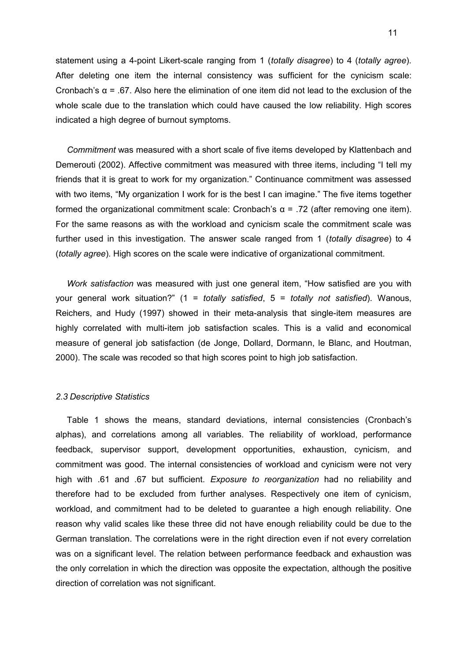statement using a 4-point Likert-scale ranging from 1 (*totally disagree*) to 4 (*totally agree*). After deleting one item the internal consistency was sufficient for the cynicism scale: Cronbach's α = .67. Also here the elimination of one item did not lead to the exclusion of the whole scale due to the translation which could have caused the low reliability. High scores indicated a high degree of burnout symptoms.

*Commitment* was measured with a short scale of five items developed by Klattenbach and Demerouti (2002). Affective commitment was measured with three items, including "I tell my friends that it is great to work for my organization." Continuance commitment was assessed with two items, "My organization I work for is the best I can imagine." The five items together formed the organizational commitment scale: Cronbach's α = .72 (after removing one item). For the same reasons as with the workload and cynicism scale the commitment scale was further used in this investigation. The answer scale ranged from 1 (*totally disagree*) to 4 (*totally agree*). High scores on the scale were indicative of organizational commitment.

*Work satisfaction* was measured with just one general item, "How satisfied are you with your general work situation?" (1 = *totally satisfied*, 5 = *totally not satisfied*). Wanous, Reichers, and Hudy (1997) showed in their meta-analysis that single-item measures are highly correlated with multi-item job satisfaction scales. This is a valid and economical measure of general job satisfaction (de Jonge, Dollard, Dormann, le Blanc, and Houtman, 2000). The scale was recoded so that high scores point to high job satisfaction.

#### <span id="page-10-0"></span>*2.3 Descriptive Statistics*

Table 1 shows the means, standard deviations, internal consistencies (Cronbach's alphas), and correlations among all variables. The reliability of workload, performance feedback, supervisor support, development opportunities, exhaustion, cynicism, and commitment was good. The internal consistencies of workload and cynicism were not very high with .61 and .67 but sufficient. *Exposure to reorganization* had no reliability and therefore had to be excluded from further analyses. Respectively one item of cynicism, workload, and commitment had to be deleted to guarantee a high enough reliability. One reason why valid scales like these three did not have enough reliability could be due to the German translation. The correlations were in the right direction even if not every correlation was on a significant level. The relation between performance feedback and exhaustion was the only correlation in which the direction was opposite the expectation, although the positive direction of correlation was not significant.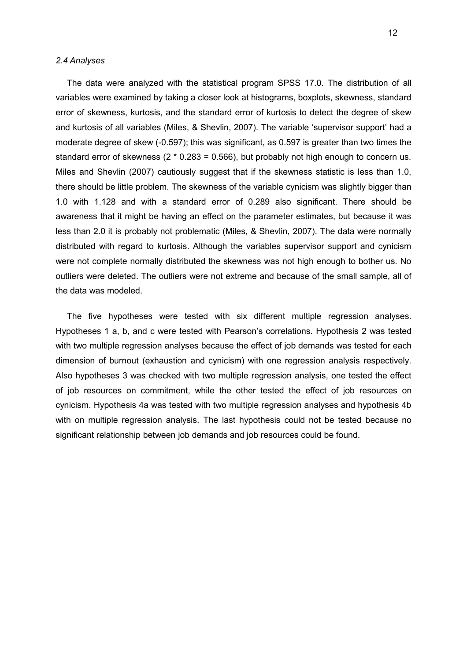#### <span id="page-11-0"></span>*2.4 Analyses*

The data were analyzed with the statistical program SPSS 17.0. The distribution of all variables were examined by taking a closer look at histograms, boxplots, skewness, standard error of skewness, kurtosis, and the standard error of kurtosis to detect the degree of skew and kurtosis of all variables (Miles, & Shevlin, 2007). The variable 'supervisor support' had a moderate degree of skew (-0.597); this was significant, as 0.597 is greater than two times the standard error of skewness ( $2 * 0.283 = 0.566$ ), but probably not high enough to concern us. Miles and Shevlin (2007) cautiously suggest that if the skewness statistic is less than 1.0, there should be little problem. The skewness of the variable cynicism was slightly bigger than 1.0 with 1.128 and with a standard error of 0.289 also significant. There should be awareness that it might be having an effect on the parameter estimates, but because it was less than 2.0 it is probably not problematic (Miles, & Shevlin, 2007). The data were normally distributed with regard to kurtosis. Although the variables supervisor support and cynicism were not complete normally distributed the skewness was not high enough to bother us. No outliers were deleted. The outliers were not extreme and because of the small sample, all of the data was modeled.

The five hypotheses were tested with six different multiple regression analyses. Hypotheses 1 a, b, and c were tested with Pearson's correlations. Hypothesis 2 was tested with two multiple regression analyses because the effect of job demands was tested for each dimension of burnout (exhaustion and cynicism) with one regression analysis respectively. Also hypotheses 3 was checked with two multiple regression analysis, one tested the effect of job resources on commitment, while the other tested the effect of job resources on cynicism. Hypothesis 4a was tested with two multiple regression analyses and hypothesis 4b with on multiple regression analysis. The last hypothesis could not be tested because no significant relationship between job demands and job resources could be found.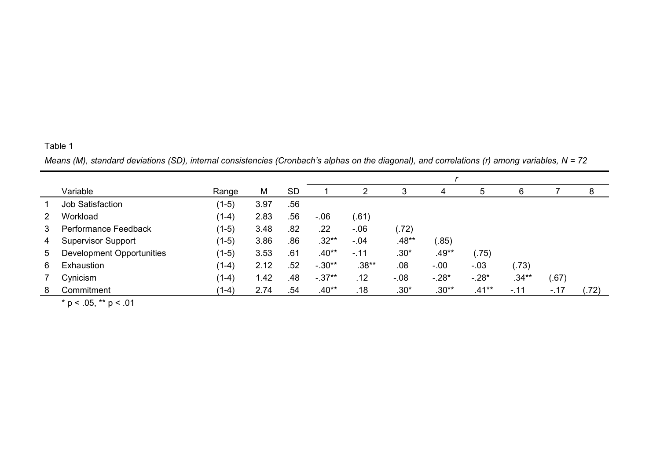# Table 1

*Means (M), standard deviations (SD), internal consistencies (Cronbach's alphas on the diagonal), and correlations (r) among variables, N = 72*

|   | Variable                  | Range   | M    | <b>SD</b> |          | $\overline{2}$ | 3       | 4       | 5        | 6        |        | 8    |
|---|---------------------------|---------|------|-----------|----------|----------------|---------|---------|----------|----------|--------|------|
|   | <b>Job Satisfaction</b>   | $(1-5)$ | 3.97 | .56       |          |                |         |         |          |          |        |      |
| 2 | Workload                  | $(1-4)$ | 2.83 | .56       | $-0.06$  | (.61)          |         |         |          |          |        |      |
| 3 | Performance Feedback      | $(1-5)$ | 3.48 | .82       | .22      | $-0.06$        | (.72)   |         |          |          |        |      |
| 4 | <b>Supervisor Support</b> | $(1-5)$ | 3.86 | .86       | $.32**$  | $-.04$         | .48**   | .85)    |          |          |        |      |
| 5 | Development Opportunities | $(1-5)$ | 3.53 | .61       | $.40**$  | $-11$          | $.30*$  | $.49**$ | (.75)    |          |        |      |
| 6 | Exhaustion                | $(1-4)$ | 2.12 | .52       | $-.30**$ | $.38**$        | .08     | $-0.00$ | $-.03$   | (.73)    |        |      |
| 7 | Cynicism                  | $(1-4)$ | 1.42 | .48       | $-37**$  | .12            | $-0.08$ | $-.28*$ | $-.28*$  | $.34***$ | (.67)  |      |
| 8 | Commitment                | $(1-4)$ | 2.74 | .54       | $.40**$  | .18            | $.30*$  | $.30**$ | $.41***$ | $-.11$   | $-.17$ | (72) |

 $*$  p < .05,  $**$  p < .01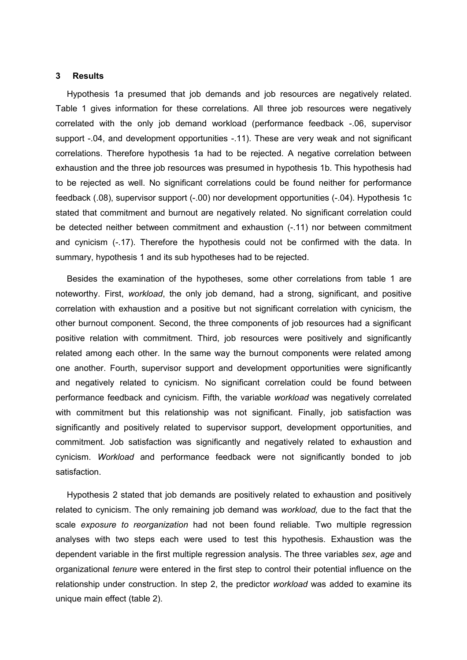#### <span id="page-13-0"></span>**3 Results**

Hypothesis 1a presumed that job demands and job resources are negatively related. Table 1 gives information for these correlations. All three job resources were negatively correlated with the only job demand workload (performance feedback -.06, supervisor support -.04, and development opportunities -.11). These are very weak and not significant correlations. Therefore hypothesis 1a had to be rejected. A negative correlation between exhaustion and the three job resources was presumed in hypothesis 1b. This hypothesis had to be rejected as well. No significant correlations could be found neither for performance feedback (.08), supervisor support (-.00) nor development opportunities (-.04). Hypothesis 1c stated that commitment and burnout are negatively related. No significant correlation could be detected neither between commitment and exhaustion (-.11) nor between commitment and cynicism (-.17). Therefore the hypothesis could not be confirmed with the data. In summary, hypothesis 1 and its sub hypotheses had to be rejected.

Besides the examination of the hypotheses, some other correlations from table 1 are noteworthy. First, *workload*, the only job demand, had a strong, significant, and positive correlation with exhaustion and a positive but not significant correlation with cynicism, the other burnout component. Second, the three components of job resources had a significant positive relation with commitment. Third, job resources were positively and significantly related among each other. In the same way the burnout components were related among one another. Fourth, supervisor support and development opportunities were significantly and negatively related to cynicism. No significant correlation could be found between performance feedback and cynicism. Fifth, the variable *workload* was negatively correlated with commitment but this relationship was not significant. Finally, job satisfaction was significantly and positively related to supervisor support, development opportunities, and commitment. Job satisfaction was significantly and negatively related to exhaustion and cynicism. *Workload* and performance feedback were not significantly bonded to job satisfaction.

Hypothesis 2 stated that job demands are positively related to exhaustion and positively related to cynicism. The only remaining job demand was *workload,* due to the fact that the scale *exposure to reorganization* had not been found reliable. Two multiple regression analyses with two steps each were used to test this hypothesis. Exhaustion was the dependent variable in the first multiple regression analysis. The three variables *sex*, *age* and organizational *tenure* were entered in the first step to control their potential influence on the relationship under construction. In step 2, the predictor *workload* was added to examine its unique main effect (table 2).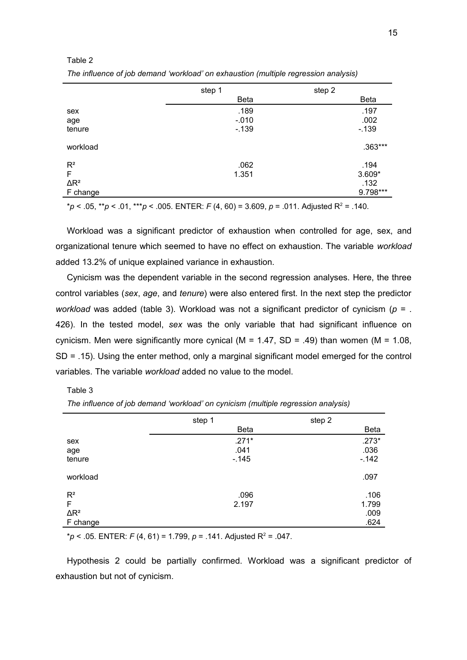#### Table 2

*The influence of job demand 'workload' on exhaustion (multiple regression analysis)*

|              | step 1      | step 2      |
|--------------|-------------|-------------|
|              | <b>Beta</b> | <b>Beta</b> |
| sex          | .189        | .197        |
| age          | $-0.010$    | .002        |
| tenure       | $-139$      | $-139$      |
| workload     |             | .363***     |
| $R^2$        | .062        | .194        |
| F            | 1.351       | $3.609*$    |
| $\Delta R^2$ |             | .132        |
| F change     |             | 9.798***    |
|              |             |             |

\**p* < .05, \*\**p* < .01, \*\*\**p* < .005*.* ENTER: *F* (4, 60) = 3.609, *p* = .011. Adjusted R<sup>2</sup> = .140.

Workload was a significant predictor of exhaustion when controlled for age, sex, and organizational tenure which seemed to have no effect on exhaustion. The variable *workload* added 13.2% of unique explained variance in exhaustion.

Cynicism was the dependent variable in the second regression analyses. Here, the three control variables (*sex*, *age*, and *tenure*) were also entered first. In the next step the predictor *workload* was added (table 3). Workload was not a significant predictor of cynicism (*p* = . 426). In the tested model, *sex* was the only variable that had significant influence on cynicism. Men were significantly more cynical ( $M = 1.47$ , SD = .49) than women ( $M = 1.08$ , SD = .15). Using the enter method, only a marginal significant model emerged for the control variables. The variable *workload* added no value to the model.

#### Table 3

|                                                 | step 1                     | step 2 |                               |
|-------------------------------------------------|----------------------------|--------|-------------------------------|
|                                                 | <b>Beta</b>                |        | <b>Beta</b>                   |
| sex<br>age<br>tenure                            | $.271*$<br>.041<br>$-.145$ |        | $.273*$<br>.036<br>$-.142$    |
| workload                                        |                            |        | .097                          |
| $R^2$<br>F<br>$\Delta \mathsf{R}^2$<br>F change | .096<br>2.197              |        | .106<br>1.799<br>.009<br>.624 |

*The influence of job demand 'workload' on cynicism (multiple regression analysis)*

 $p < .05$ . ENTER: *F* (4, 61) = 1.799, *p* = .141. Adjusted R<sup>2</sup> = .047.

Hypothesis 2 could be partially confirmed. Workload was a significant predictor of exhaustion but not of cynicism.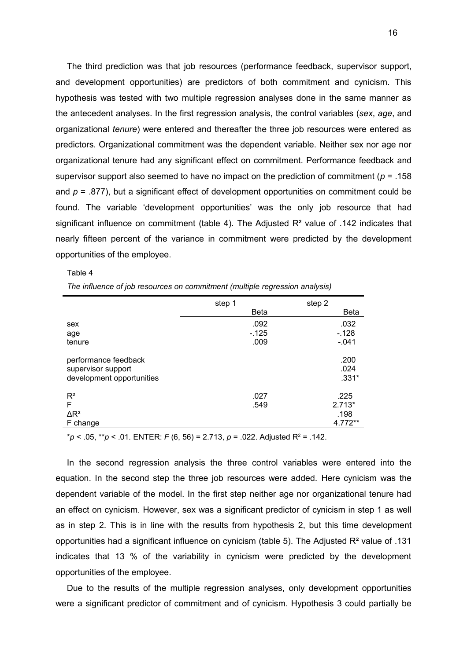The third prediction was that job resources (performance feedback, supervisor support, and development opportunities) are predictors of both commitment and cynicism. This hypothesis was tested with two multiple regression analyses done in the same manner as the antecedent analyses. In the first regression analysis, the control variables (*sex*, *age*, and organizational *tenure*) were entered and thereafter the three job resources were entered as predictors. Organizational commitment was the dependent variable. Neither sex nor age nor organizational tenure had any significant effect on commitment. Performance feedback and supervisor support also seemed to have no impact on the prediction of commitment (*p* = .158 and  $p = .877$ ), but a significant effect of development opportunities on commitment could be found. The variable 'development opportunities' was the only job resource that had significant influence on commitment (table 4). The Adjusted R<sup>2</sup> value of .142 indicates that nearly fifteen percent of the variance in commitment were predicted by the development opportunities of the employee.

Table 4

*The influence of job resources on commitment (multiple regression analysis)*

|                                                                         | step 1      | step 2                  |
|-------------------------------------------------------------------------|-------------|-------------------------|
|                                                                         | <b>Beta</b> | Beta                    |
| sex                                                                     | .092        | .032                    |
| age                                                                     | $-125$      | $-.128$                 |
| tenure                                                                  | .009        | $-.041$                 |
| performance feedback<br>supervisor support<br>development opportunities |             | .200<br>.024<br>$.331*$ |
| $R^2$                                                                   | .027        | .225                    |
| F                                                                       | .549        | $2.713*$                |
| $\Delta$ R <sup>2</sup>                                                 |             | .198                    |
| F change                                                                |             | 4.772**                 |

\**p* < .05, \*\**p* < .01*.* ENTER: *F* (6, 56) = 2.713, *p* = .022. Adjusted R<sup>2</sup> = .142.

In the second regression analysis the three control variables were entered into the equation. In the second step the three job resources were added. Here cynicism was the dependent variable of the model. In the first step neither age nor organizational tenure had an effect on cynicism. However, sex was a significant predictor of cynicism in step 1 as well as in step 2. This is in line with the results from hypothesis 2, but this time development opportunities had a significant influence on cynicism (table 5). The Adjusted  $R<sup>2</sup>$  value of .131 indicates that 13 % of the variability in cynicism were predicted by the development opportunities of the employee.

Due to the results of the multiple regression analyses, only development opportunities were a significant predictor of commitment and of cynicism. Hypothesis 3 could partially be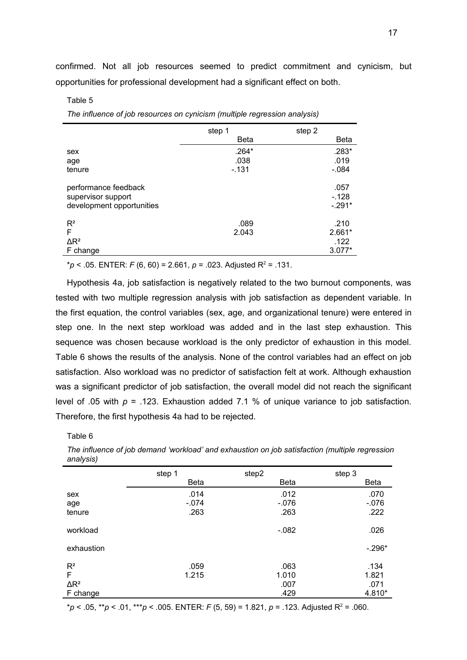confirmed. Not all job resources seemed to predict commitment and cynicism, but opportunities for professional development had a significant effect on both.

#### Table 5

*The influence of job resources on cynicism (multiple regression analysis)*

|                                                                         | step 1      | step 2                      |
|-------------------------------------------------------------------------|-------------|-----------------------------|
|                                                                         | <b>Beta</b> | Beta                        |
| sex                                                                     | $.264*$     | .283*                       |
| age                                                                     | .038        | .019                        |
| tenure                                                                  | $-131$      | $-.084$                     |
| performance feedback<br>supervisor support<br>development opportunities |             | .057<br>$-.128$<br>$-.291*$ |
| $R^2$                                                                   | .089        | .210                        |
| F                                                                       | 2.043       | 2.661*                      |
| $\Delta$ R <sup>2</sup>                                                 |             | .122                        |
| F change                                                                |             | $3.077*$                    |

\**p* < .05. ENTER: *F* (6, 60) = 2.661, *p* = .023. Adjusted R<sup>2</sup> = .131.

Hypothesis 4a, job satisfaction is negatively related to the two burnout components, was tested with two multiple regression analysis with job satisfaction as dependent variable. In the first equation, the control variables (sex, age, and organizational tenure) were entered in step one. In the next step workload was added and in the last step exhaustion. This sequence was chosen because workload is the only predictor of exhaustion in this model. Table 6 shows the results of the analysis. None of the control variables had an effect on job satisfaction. Also workload was no predictor of satisfaction felt at work. Although exhaustion was a significant predictor of job satisfaction, the overall model did not reach the significant level of .05 with  $p = 0.123$ . Exhaustion added 7.1 % of unique variance to job satisfaction. Therefore, the first hypothesis 4a had to be rejected.

Table 6

*The influence of job demand 'workload' and exhaustion on job satisfaction (multiple regression analysis)*

|                | step 1      | step2       | step 3      |
|----------------|-------------|-------------|-------------|
|                | <b>Beta</b> | <b>Beta</b> | <b>Beta</b> |
| sex            | .014        | .012        | .070        |
| age            | $-.074$     | $-.076$     | $-076$      |
| tenure         | .263        | .263        | .222        |
| workload       |             | $-.082$     | .026        |
| exhaustion     |             |             | $-.296*$    |
| R <sup>2</sup> | .059        | .063        | .134        |
| F              | 1.215       | 1.010       | 1.821       |
| $\Delta R^2$   |             | .007        | .071        |
| F change       |             | .429        | 4.810*      |

\**p* < .05, \*\**p* < .01, \*\*\**p* < .005. ENTER: *F* (5, 59) = 1.821, *p* = .123. Adjusted R<sup>2</sup> = .060.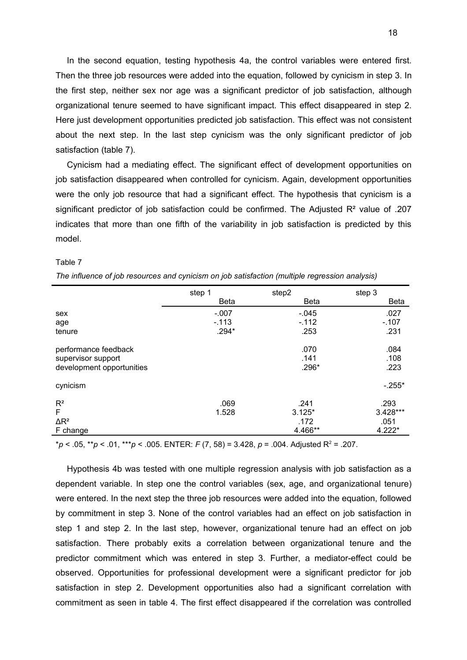In the second equation, testing hypothesis 4a, the control variables were entered first. Then the three job resources were added into the equation, followed by cynicism in step 3. In the first step, neither sex nor age was a significant predictor of job satisfaction, although organizational tenure seemed to have significant impact. This effect disappeared in step 2. Here just development opportunities predicted job satisfaction. This effect was not consistent about the next step. In the last step cynicism was the only significant predictor of job satisfaction (table 7).

Cynicism had a mediating effect. The significant effect of development opportunities on job satisfaction disappeared when controlled for cynicism. Again, development opportunities were the only job resource that had a significant effect. The hypothesis that cynicism is a significant predictor of job satisfaction could be confirmed. The Adjusted  $R<sup>2</sup>$  value of .207 indicates that more than one fifth of the variability in job satisfaction is predicted by this model.

| ı۴<br>. . |  |
|-----------|--|
|-----------|--|

| The influence of job resources and cynicism on job satisfaction (multiple regression analysis) |  |  |  |  |
|------------------------------------------------------------------------------------------------|--|--|--|--|
|                                                                                                |  |  |  |  |

|                           | step 1      | step2       | step 3   |
|---------------------------|-------------|-------------|----------|
|                           | <b>Beta</b> | <b>Beta</b> | Beta     |
| sex                       | $-.007$     | $-.045$     | .027     |
| age                       | $-113$      | $-112$      | $-.107$  |
| tenure                    | .294*       | .253        | .231     |
| performance feedback      |             | .070        | .084     |
| supervisor support        |             | .141        | .108     |
| development opportunities |             | .296*       | .223     |
| cynicism                  |             |             | $-.255*$ |
| $R^2$                     | .069        | .241        | .293     |
| F                         | 1.528       | $3.125*$    | 3.428*** |
| $\Delta$ R <sup>2</sup>   |             | .172        | .051     |
| F change                  |             | 4.466**     | $4.222*$ |

\**p* < .05, \*\**p* < .01, \*\*\**p* < .005. ENTER: *F* (7, 58) = 3.428, *p* = .004. Adjusted R<sup>2</sup> = .207.

Hypothesis 4b was tested with one multiple regression analysis with job satisfaction as a dependent variable. In step one the control variables (sex, age, and organizational tenure) were entered. In the next step the three job resources were added into the equation, followed by commitment in step 3. None of the control variables had an effect on job satisfaction in step 1 and step 2. In the last step, however, organizational tenure had an effect on job satisfaction. There probably exits a correlation between organizational tenure and the predictor commitment which was entered in step 3. Further, a mediator-effect could be observed. Opportunities for professional development were a significant predictor for job satisfaction in step 2. Development opportunities also had a significant correlation with commitment as seen in table 4. The first effect disappeared if the correlation was controlled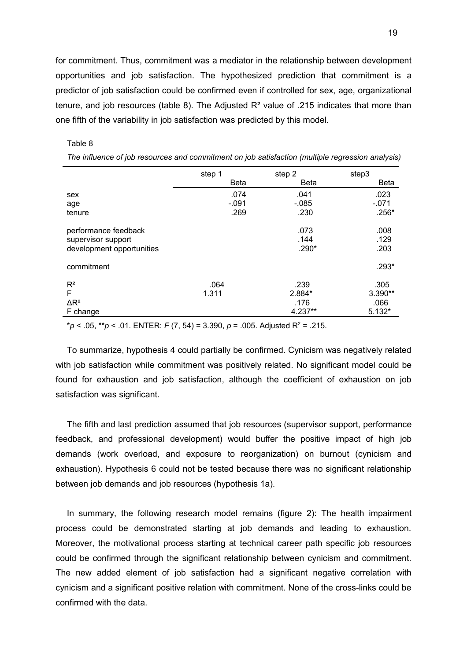for commitment. Thus, commitment was a mediator in the relationship between development opportunities and job satisfaction. The hypothesized prediction that commitment is a predictor of job satisfaction could be confirmed even if controlled for sex, age, organizational tenure, and job resources (table 8). The Adjusted R² value of .215 indicates that more than one fifth of the variability in job satisfaction was predicted by this model.

#### Table 8

|                           | step 1      | step 2      | step3       |
|---------------------------|-------------|-------------|-------------|
|                           | <b>Beta</b> | <b>Beta</b> | <b>Beta</b> |
| sex                       | .074        | .041        | .023        |
| age                       | $-.091$     | $-0.085$    | $-.071$     |
| tenure                    | .269        | .230        | $.256*$     |
| performance feedback      |             | .073        | .008        |
| supervisor support        |             | .144        | .129        |
| development opportunities |             | .290*       | .203        |
| commitment                |             |             | .293*       |
| $R^2$                     | .064        | .239        | .305        |
| F                         | 1.311       | 2.884*      | $3.390**$   |
| $\Delta$ R <sup>2</sup>   |             | .176        | .066        |
| F change                  |             | 4.237**     | $5.132*$    |

*The influence of job resources and commitment on job satisfaction (multiple regression analysis)*

\**p* < .05, \*\**p* < .01*.* ENTER: *F* (7, 54) = 3.390, *p* = .005. Adjusted R<sup>2</sup> = .215.

To summarize, hypothesis 4 could partially be confirmed. Cynicism was negatively related with job satisfaction while commitment was positively related. No significant model could be found for exhaustion and job satisfaction, although the coefficient of exhaustion on job satisfaction was significant.

The fifth and last prediction assumed that job resources (supervisor support, performance feedback, and professional development) would buffer the positive impact of high job demands (work overload, and exposure to reorganization) on burnout (cynicism and exhaustion). Hypothesis 6 could not be tested because there was no significant relationship between job demands and job resources (hypothesis 1a).

In summary, the following research model remains (figure 2): The health impairment process could be demonstrated starting at job demands and leading to exhaustion. Moreover, the motivational process starting at technical career path specific job resources could be confirmed through the significant relationship between cynicism and commitment. The new added element of job satisfaction had a significant negative correlation with cynicism and a significant positive relation with commitment. None of the cross-links could be confirmed with the data.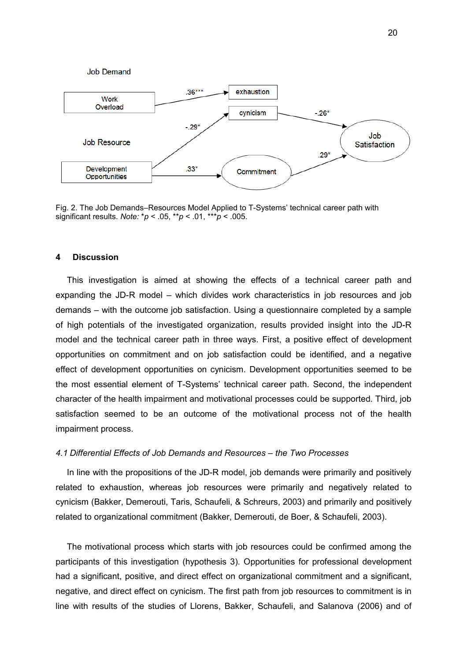

Fig. 2. The Job Demands–Resources Model Applied to T-Systems' technical career path with significant results. *Note:* \**p* < .05, \*\**p* < .01, \*\*\**p* < .005.

#### <span id="page-19-1"></span>**4 Discussion**

This investigation is aimed at showing the effects of a technical career path and expanding the JD-R model – which divides work characteristics in job resources and job demands – with the outcome job satisfaction. Using a questionnaire completed by a sample of high potentials of the investigated organization, results provided insight into the JD-R model and the technical career path in three ways. First, a positive effect of development opportunities on commitment and on job satisfaction could be identified, and a negative effect of development opportunities on cynicism. Development opportunities seemed to be the most essential element of T-Systems' technical career path. Second, the independent character of the health impairment and motivational processes could be supported. Third, job satisfaction seemed to be an outcome of the motivational process not of the health impairment process.

#### <span id="page-19-0"></span>*4.1 Differential Effects of Job Demands and Resources – the Two Processes*

In line with the propositions of the JD-R model, job demands were primarily and positively related to exhaustion, whereas job resources were primarily and negatively related to cynicism (Bakker, Demerouti, Taris, Schaufeli, & Schreurs, 2003) and primarily and positively related to organizational commitment (Bakker, Demerouti, de Boer, & Schaufeli, 2003).

The motivational process which starts with job resources could be confirmed among the participants of this investigation (hypothesis 3). Opportunities for professional development had a significant, positive, and direct effect on organizational commitment and a significant, negative, and direct effect on cynicism. The first path from job resources to commitment is in line with results of the studies of Llorens, Bakker, Schaufeli, and Salanova (2006) and of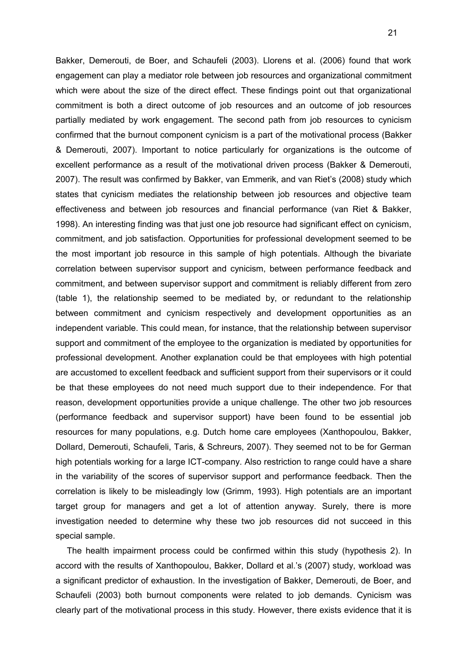Bakker, Demerouti, de Boer, and Schaufeli (2003). Llorens et al. (2006) found that work engagement can play a mediator role between job resources and organizational commitment which were about the size of the direct effect. These findings point out that organizational commitment is both a direct outcome of job resources and an outcome of job resources partially mediated by work engagement. The second path from job resources to cynicism confirmed that the burnout component cynicism is a part of the motivational process (Bakker & Demerouti, 2007). Important to notice particularly for organizations is the outcome of excellent performance as a result of the motivational driven process (Bakker & Demerouti, 2007). The result was confirmed by Bakker, van Emmerik, and van Riet's (2008) study which states that cynicism mediates the relationship between job resources and objective team effectiveness and between job resources and financial performance (van Riet & Bakker, 1998). An interesting finding was that just one job resource had significant effect on cynicism, commitment, and job satisfaction. Opportunities for professional development seemed to be the most important job resource in this sample of high potentials. Although the bivariate correlation between supervisor support and cynicism, between performance feedback and commitment, and between supervisor support and commitment is reliably different from zero (table 1), the relationship seemed to be mediated by, or redundant to the relationship between commitment and cynicism respectively and development opportunities as an independent variable. This could mean, for instance, that the relationship between supervisor support and commitment of the employee to the organization is mediated by opportunities for professional development. Another explanation could be that employees with high potential are accustomed to excellent feedback and sufficient support from their supervisors or it could be that these employees do not need much support due to their independence. For that reason, development opportunities provide a unique challenge. The other two job resources (performance feedback and supervisor support) have been found to be essential job resources for many populations, e.g. Dutch home care employees (Xanthopoulou, Bakker, Dollard, Demerouti, Schaufeli, Taris, & Schreurs, 2007). They seemed not to be for German high potentials working for a large ICT-company. Also restriction to range could have a share in the variability of the scores of supervisor support and performance feedback. Then the correlation is likely to be misleadingly low (Grimm, 1993). High potentials are an important target group for managers and get a lot of attention anyway. Surely, there is more investigation needed to determine why these two job resources did not succeed in this special sample.

The health impairment process could be confirmed within this study (hypothesis 2). In accord with the results of Xanthopoulou, Bakker, Dollard et al.'s (2007) study, workload was a significant predictor of exhaustion. In the investigation of Bakker, Demerouti, de Boer, and Schaufeli (2003) both burnout components were related to job demands. Cynicism was clearly part of the motivational process in this study. However, there exists evidence that it is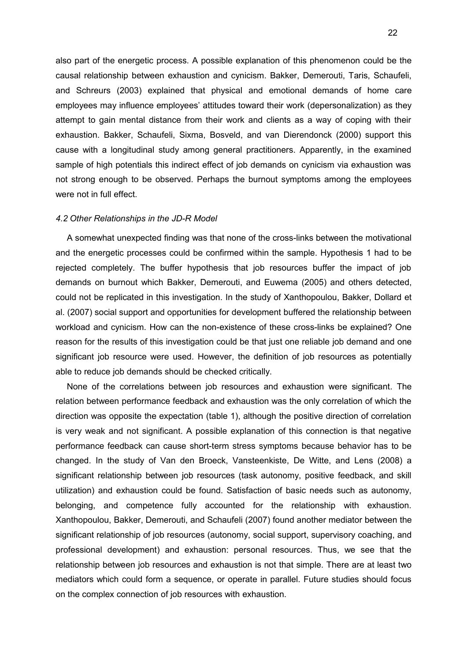also part of the energetic process. A possible explanation of this phenomenon could be the causal relationship between exhaustion and cynicism. Bakker, Demerouti, Taris, Schaufeli, and Schreurs (2003) explained that physical and emotional demands of home care employees may influence employees' attitudes toward their work (depersonalization) as they attempt to gain mental distance from their work and clients as a way of coping with their exhaustion. Bakker, Schaufeli, Sixma, Bosveld, and van Dierendonck (2000) support this cause with a longitudinal study among general practitioners. Apparently, in the examined sample of high potentials this indirect effect of job demands on cynicism via exhaustion was not strong enough to be observed. Perhaps the burnout symptoms among the employees were not in full effect.

#### <span id="page-21-0"></span>*4.2 Other Relationships in the JD-R Model*

A somewhat unexpected finding was that none of the cross-links between the motivational and the energetic processes could be confirmed within the sample. Hypothesis 1 had to be rejected completely. The buffer hypothesis that job resources buffer the impact of job demands on burnout which Bakker, Demerouti, and Euwema (2005) and others detected, could not be replicated in this investigation. In the study of Xanthopoulou, Bakker, Dollard et al. (2007) social support and opportunities for development buffered the relationship between workload and cynicism. How can the non-existence of these cross-links be explained? One reason for the results of this investigation could be that just one reliable job demand and one significant job resource were used. However, the definition of job resources as potentially able to reduce job demands should be checked critically.

None of the correlations between job resources and exhaustion were significant. The relation between performance feedback and exhaustion was the only correlation of which the direction was opposite the expectation (table 1), although the positive direction of correlation is very weak and not significant. A possible explanation of this connection is that negative performance feedback can cause short-term stress symptoms because behavior has to be changed. In the study of Van den Broeck, Vansteenkiste, De Witte, and Lens (2008) a significant relationship between job resources (task autonomy, positive feedback, and skill utilization) and exhaustion could be found. Satisfaction of basic needs such as autonomy, belonging, and competence fully accounted for the relationship with exhaustion. Xanthopoulou, Bakker, Demerouti, and Schaufeli (2007) found another mediator between the significant relationship of job resources (autonomy, social support, supervisory coaching, and professional development) and exhaustion: personal resources. Thus, we see that the relationship between job resources and exhaustion is not that simple. There are at least two mediators which could form a sequence, or operate in parallel. Future studies should focus on the complex connection of job resources with exhaustion.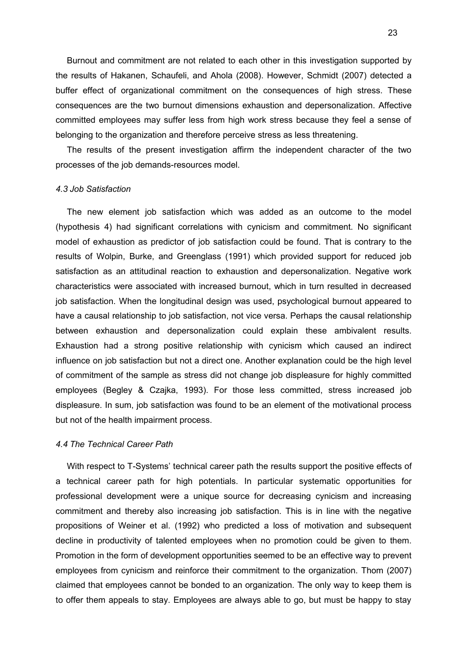Burnout and commitment are not related to each other in this investigation supported by the results of Hakanen, Schaufeli, and Ahola (2008). However, Schmidt (2007) detected a buffer effect of organizational commitment on the consequences of high stress. These consequences are the two burnout dimensions exhaustion and depersonalization. Affective committed employees may suffer less from high work stress because they feel a sense of belonging to the organization and therefore perceive stress as less threatening.

The results of the present investigation affirm the independent character of the two processes of the job demands-resources model.

#### <span id="page-22-1"></span>*4.3 Job Satisfaction*

The new element job satisfaction which was added as an outcome to the model (hypothesis 4) had significant correlations with cynicism and commitment. No significant model of exhaustion as predictor of job satisfaction could be found. That is contrary to the results of Wolpin, Burke, and Greenglass (1991) which provided support for reduced job satisfaction as an attitudinal reaction to exhaustion and depersonalization. Negative work characteristics were associated with increased burnout, which in turn resulted in decreased job satisfaction. When the longitudinal design was used, psychological burnout appeared to have a causal relationship to job satisfaction, not vice versa. Perhaps the causal relationship between exhaustion and depersonalization could explain these ambivalent results. Exhaustion had a strong positive relationship with cynicism which caused an indirect influence on job satisfaction but not a direct one. Another explanation could be the high level of commitment of the sample as stress did not change job displeasure for highly committed employees (Begley & Czajka, 1993). For those less committed, stress increased job displeasure. In sum, job satisfaction was found to be an element of the motivational process but not of the health impairment process.

#### <span id="page-22-0"></span>*4.4 The Technical Career Path*

With respect to T-Systems' technical career path the results support the positive effects of a technical career path for high potentials. In particular systematic opportunities for professional development were a unique source for decreasing cynicism and increasing commitment and thereby also increasing job satisfaction. This is in line with the negative propositions of Weiner et al. (1992) who predicted a loss of motivation and subsequent decline in productivity of talented employees when no promotion could be given to them. Promotion in the form of development opportunities seemed to be an effective way to prevent employees from cynicism and reinforce their commitment to the organization. Thom (2007) claimed that employees cannot be bonded to an organization. The only way to keep them is to offer them appeals to stay. Employees are always able to go, but must be happy to stay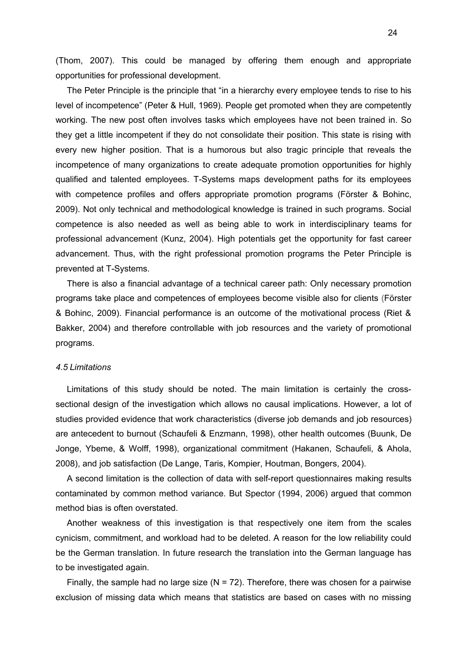(Thom, 2007). This could be managed by offering them enough and appropriate opportunities for professional development.

The Peter Principle is the principle that "in a hierarchy every employee tends to rise to his level of incompetence" (Peter & Hull, 1969). People get promoted when they are competently working. The new post often involves tasks which employees have not been trained in. So they get a little incompetent if they do not consolidate their position. This state is rising with every new higher position. That is a humorous but also tragic principle that reveals the incompetence of many organizations to create adequate promotion opportunities for highly qualified and talented employees. T-Systems maps development paths for its employees with competence profiles and offers appropriate promotion programs (Förster & Bohinc, 2009). Not only technical and methodological knowledge is trained in such programs. Social competence is also needed as well as being able to work in interdisciplinary teams for professional advancement (Kunz, 2004). High potentials get the opportunity for fast career advancement. Thus, with the right professional promotion programs the Peter Principle is prevented at T-Systems.

There is also a financial advantage of a technical career path: Only necessary promotion programs take place and competences of employees become visible also for clients **(**Förster & Bohinc, 2009). Financial performance is an outcome of the motivational process (Riet & Bakker, 2004) and therefore controllable with job resources and the variety of promotional programs.

#### <span id="page-23-0"></span>*4.5 Limitations*

Limitations of this study should be noted. The main limitation is certainly the crosssectional design of the investigation which allows no causal implications. However, a lot of studies provided evidence that work characteristics (diverse job demands and job resources) are antecedent to burnout (Schaufeli & Enzmann, 1998), other health outcomes (Buunk, De Jonge, Ybeme, & Wolff, 1998), organizational commitment (Hakanen, Schaufeli, & Ahola, 2008), and job satisfaction (De Lange, Taris, Kompier, Houtman, Bongers, 2004).

A second limitation is the collection of data with self-report questionnaires making results contaminated by common method variance. But Spector (1994, 2006) argued that common method bias is often overstated.

Another weakness of this investigation is that respectively one item from the scales cynicism, commitment, and workload had to be deleted. A reason for the low reliability could be the German translation. In future research the translation into the German language has to be investigated again.

Finally, the sample had no large size  $(N = 72)$ . Therefore, there was chosen for a pairwise exclusion of missing data which means that statistics are based on cases with no missing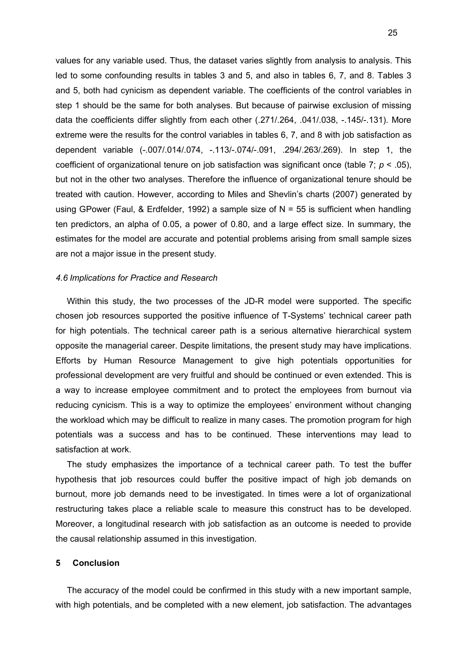values for any variable used. Thus, the dataset varies slightly from analysis to analysis. This led to some confounding results in tables 3 and 5, and also in tables 6, 7, and 8. Tables 3 and 5, both had cynicism as dependent variable. The coefficients of the control variables in step 1 should be the same for both analyses. But because of pairwise exclusion of missing data the coefficients differ slightly from each other (.271/.264, .041/.038, -.145/-.131). More extreme were the results for the control variables in tables 6, 7, and 8 with job satisfaction as dependent variable (-.007/.014/.074, -.113/-.074/-.091, .294/.263/.269). In step 1, the coefficient of organizational tenure on job satisfaction was significant once (table 7; *p* < .05), but not in the other two analyses. Therefore the influence of organizational tenure should be treated with caution. However, according to Miles and Shevlin's charts (2007) generated by using GPower (Faul, & Erdfelder, 1992) a sample size of N = 55 is sufficient when handling ten predictors, an alpha of 0.05, a power of 0.80, and a large effect size. In summary, the estimates for the model are accurate and potential problems arising from small sample sizes are not a major issue in the present study.

#### <span id="page-24-1"></span>*4.6 Implications for Practice and Research*

Within this study, the two processes of the JD-R model were supported. The specific chosen job resources supported the positive influence of T-Systems' technical career path for high potentials. The technical career path is a serious alternative hierarchical system opposite the managerial career. Despite limitations, the present study may have implications. Efforts by Human Resource Management to give high potentials opportunities for professional development are very fruitful and should be continued or even extended. This is a way to increase employee commitment and to protect the employees from burnout via reducing cynicism. This is a way to optimize the employees' environment without changing the workload which may be difficult to realize in many cases. The promotion program for high potentials was a success and has to be continued. These interventions may lead to satisfaction at work.

The study emphasizes the importance of a technical career path. To test the buffer hypothesis that job resources could buffer the positive impact of high job demands on burnout, more job demands need to be investigated. In times were a lot of organizational restructuring takes place a reliable scale to measure this construct has to be developed. Moreover, a longitudinal research with job satisfaction as an outcome is needed to provide the causal relationship assumed in this investigation.

#### <span id="page-24-0"></span>**5 Conclusion**

The accuracy of the model could be confirmed in this study with a new important sample, with high potentials, and be completed with a new element, job satisfaction. The advantages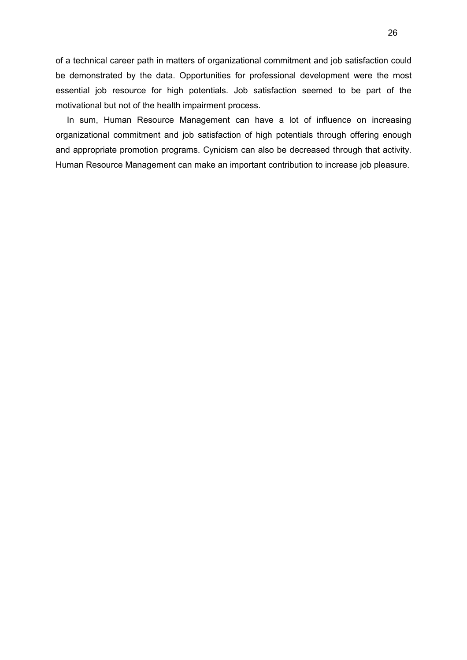of a technical career path in matters of organizational commitment and job satisfaction could be demonstrated by the data. Opportunities for professional development were the most essential job resource for high potentials. Job satisfaction seemed to be part of the motivational but not of the health impairment process.

In sum, Human Resource Management can have a lot of influence on increasing organizational commitment and job satisfaction of high potentials through offering enough and appropriate promotion programs. Cynicism can also be decreased through that activity. Human Resource Management can make an important contribution to increase job pleasure.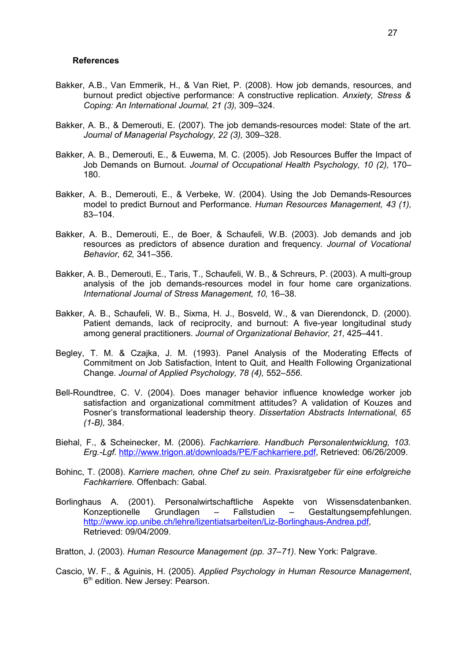#### <span id="page-26-0"></span>**References**

- Bakker, A.B., Van Emmerik, H., & Van Riet, P. (2008). How job demands, resources, and burnout predict objective performance: A constructive replication. *Anxiety, Stress & Coping: An International Journal, 21 (3),* 309–324.
- Bakker, A. B., & Demerouti, E. (2007). The job demands-resources model: State of the art. *Journal of Managerial Psychology, 22 (3),* 309–328.
- Bakker, A. B., Demerouti, E., & Euwema, M. C. (2005). Job Resources Buffer the Impact of Job Demands on Burnout. *Journal of Occupational Health Psychology, 10 (2),* 170– 180.
- Bakker, A. B., Demerouti, E., & Verbeke, W. (2004). Using the Job Demands-Resources model to predict Burnout and Performance. *Human Resources Management, 43 (1),* 83–104.
- Bakker, A. B., Demerouti, E., de Boer, & Schaufeli, W.B. (2003). Job demands and job resources as predictors of absence duration and frequency. *Journal of Vocational Behavior, 62,* 341–356.
- Bakker, A. B., Demerouti, E., Taris, T., Schaufeli, W. B., & Schreurs, P. (2003). A multi-group analysis of the job demands-resources model in four home care organizations. *International Journal of Stress Management, 10,* 16–38.
- Bakker, A. B., Schaufeli, W. B., Sixma, H. J., Bosveld, W., & van Dierendonck, D. (2000). Patient demands, lack of reciprocity, and burnout: A five-year longitudinal study among general practitioners. *Journal of Organizational Behavior, 21,* 425–441.
- Begley, T. M. & Czajka, J. M. (1993). Panel Analysis of the Moderating Effects of Commitment on Job Satisfaction, Intent to Quit, and Health Following Organizational Change. *Journal of Applied Psychology, 78 (4),* 552–*556*.
- Bell-Roundtree, C. V. (2004). Does manager behavior influence knowledge worker job satisfaction and organizational commitment attitudes? A validation of Kouzes and Posner's transformational leadership theory. *Dissertation Abstracts International, 65 (1-B),* 384.
- Biehal, F., & Scheinecker, M. (2006). *Fachkarriere. Handbuch Personalentwicklung, 103. Erg.-Lgf.* [http://www.trigon.at/downloads/PE/Fachkarriere.pdf,](http://www.trigon.at/downloads/PE/Fachkarriere.pdf) Retrieved: 06/26/2009.
- Bohinc, T. (2008). *Karriere machen, ohne Chef zu sein. Praxisratgeber für eine erfolgreiche Fachkarriere.* Offenbach: Gabal.
- Borlinghaus A. (2001). Personalwirtschaftliche Aspekte von Wissensdatenbanken. Konzeptionelle Grundlagen – Fallstudien – Gestaltungsempfehlungen. [http://www.iop.unibe.ch/lehre/lizentiatsarbeiten/Liz-Borlinghaus-Andrea.pdf,](http://www.iop.unibe.ch/lehre/lizentiatsarbeiten/Liz-Borlinghaus-Andrea.pdf) Retrieved: 09/04/2009.
- Bratton, J. (2003). *Human Resource Management (pp. 37–71)*. New York: Palgrave.
- Cascio, W. F., & Aguinis, H. (2005). *Applied Psychology in Human Resource Management*, 6<sup>th</sup> edition. New Jersey: Pearson.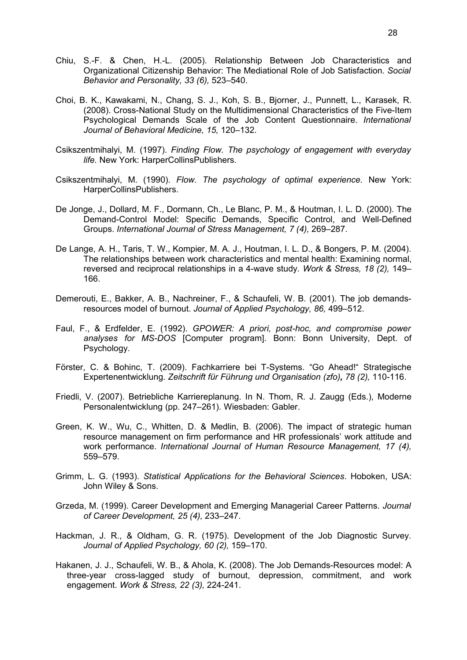- Chiu, S.-F. & Chen, H.-L. (2005). Relationship Between Job Characteristics and Organizational Citizenship Behavior: The Mediational Role of Job Satisfaction. *Social Behavior and Personality, 33 (6),* 523–540.
- Choi, B. K., Kawakami, N., Chang, S. J., Koh, S. B., Bjorner, J., Punnett, L., Karasek, R. (2008). Cross-National Study on the Multidimensional Characteristics of the Five-Item Psychological Demands Scale of the Job Content Questionnaire. *International Journal of Behavioral Medicine, 15,* 120–132.
- Csikszentmihalyi, M. (1997). *Finding Flow. The psychology of engagement with everyday life.* New York: HarperCollinsPublishers.
- Csikszentmihalyi, M. (1990). *Flow. The psychology of optimal experience.* New York: HarperCollinsPublishers.
- De Jonge, J., Dollard, M. F., Dormann, Ch., Le Blanc, P. M., & Houtman, I. L. D. (2000). The Demand-Control Model: Specific Demands, Specific Control, and Well-Defined Groups. *International Journal of Stress Management, 7 (4),* 269–287.
- De Lange, A. H., Taris, T. W., Kompier, M. A. J., Houtman, I. L. D., & Bongers, P. M. (2004). The relationships between work characteristics and mental health: Examining normal, reversed and reciprocal relationships in a 4-wave study. *Work & Stress, 18 (2),* 149– 166.
- Demerouti, E., Bakker, A. B., Nachreiner, F., & Schaufeli, W. B. (2001). The job demandsresources model of burnout. *Journal of Applied Psychology, 86,* 499–512.
- Faul, F., & Erdfelder, E. (1992). *GPOWER: A priori, post-hoc, and compromise power analyses for MS-DOS* [Computer program]. Bonn: Bonn University, Dept. of Psychology.
- Förster, C. & Bohinc, T. (2009). Fachkarriere bei T-Systems. "Go Ahead!" Strategische Expertenentwicklung. *Zeitschrift für Führung und Organisation (zfo), 78 (2),* 110-116.
- Friedli, V. (2007). Betriebliche Karriereplanung. In N. Thom, R. J. Zaugg (Eds.), Moderne Personalentwicklung (pp. 247–261). Wiesbaden: Gabler.
- Green, K. W., Wu, C., Whitten, D. & Medlin, B. (2006). The impact of strategic human resource management on firm performance and HR professionals' work attitude and work performance. *International Journal of Human Resource Management, 17 (4),* 559–579.
- Grimm, L. G. (1993). *Statistical Applications for the Behavioral Sciences*. Hoboken, USA: John Wiley & Sons.
- Grzeda, M. (1999). Career Development and Emerging Managerial Career Patterns. *Journal of Career Development, 25 (4),* 233–247.
- [Hackman, J. R.](http://ovidsp.tx.ovid.com.proxy.library.uu.nl/spa/ovidweb.cgi?&S=OKPKFPGNEMDDJMNCMCFLNBNKBHJCAA00&Search+Link=%22Hackman%2C+J+Richard%22.au.), & [Oldham, G. R.](http://ovidsp.tx.ovid.com.proxy.library.uu.nl/spa/ovidweb.cgi?&S=OKPKFPGNEMDDJMNCMCFLNBNKBHJCAA00&Search+Link=%22Oldham%2C+Greg+R%22.au.) (1975). Development of the Job Diagnostic Survey. *Journal of Applied Psychology, 60 (2),* 159–170.
- [Hakanen, J. J.](http://ovidsp.tx.ovid.com.proxy.library.uu.nl/spa/ovidweb.cgi?&S=HADKFPOICADDANCANCFLJHGJHNHOAA00&Search+Link=%22Hakanen%2C+Jari+J%22.au.), [Schaufeli, W. B.](http://ovidsp.tx.ovid.com.proxy.library.uu.nl/spa/ovidweb.cgi?&S=HADKFPOICADDANCANCFLJHGJHNHOAA00&Search+Link=%22Schaufeli%2C+Wilmar+B%22.au.), & [Ahola, K.](http://ovidsp.tx.ovid.com.proxy.library.uu.nl/spa/ovidweb.cgi?&S=HADKFPOICADDANCANCFLJHGJHNHOAA00&Search+Link=%22Ahola%2C+Kirsi%22.au.) (2008). The Job Demands-Resources model: A three-year cross-lagged study of burnout, depression, commitment, and work engagement. *Work & Stress, 22 (3),* 224-241.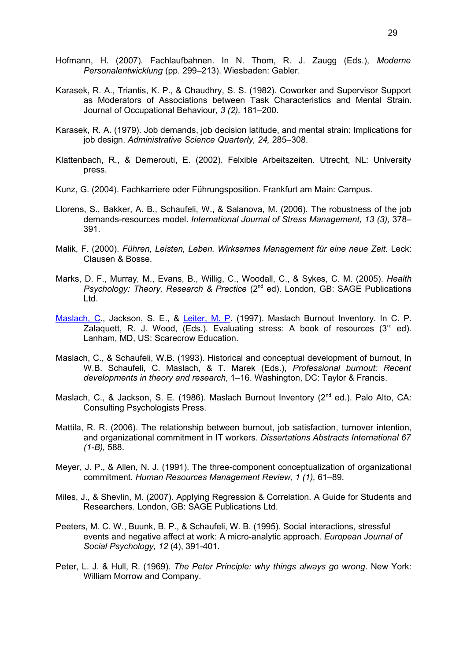- Hofmann, H. (2007). Fachlaufbahnen. In N. Thom, R. J. Zaugg (Eds.), *Moderne Personalentwicklung* (pp. 299–213). Wiesbaden: Gabler.
- Karasek, R. A., Triantis, K. P., & Chaudhry, S. S. (1982). Coworker and Supervisor Support as Moderators of Associations between Task Characteristics and Mental Strain. Journal of Occupational Behaviour*, 3 (2),* 181–200.
- Karasek, R. A. (1979). Job demands, job decision latitude, and mental strain: Implications for job design. *Administrative Science Quarterly, 24,* 285–308.
- Klattenbach, R., & Demerouti, E. (2002). Felxible Arbeitszeiten. Utrecht, NL: University press.
- Kunz, G. (2004). Fachkarriere oder Führungsposition. Frankfurt am Main: Campus.
- Llorens, S., Bakker, A. B., Schaufeli, W., & Salanova, M. (2006). The robustness of the job demands-resources model. *International Journal of Stress Management, 13 (3),* 378– 391.
- Malik, F. (2000). *Führen, Leisten, Leben. Wirksames Management für eine neue Zeit.* Leck: Clausen & Bosse.
- Marks, D. F., Murray, M., Evans, B., Willig, C., Woodall, C., & Sykes, C. M. (2005). *Health Psychology: Theory, Research & Practice* (2<sup>nd</sup> ed). London, GB: SAGE Publications Ltd.
- [Maslach, C.](http://ovidsp.tx.ovid.com.proxy.library.uu.nl/spa/ovidweb.cgi?&S=OKPKFPGNEMDDJMNCMCFLNBNKBHJCAA00&Search+Link=%22Maslach%2C+Christina%22.au.), [Jackson, S. E.](http://ovidsp.tx.ovid.com.proxy.library.uu.nl/spa/ovidweb.cgi?&S=OKPKFPGNEMDDJMNCMCFLNBNKBHJCAA00&Search+Link=%22Jackson%2C+Susan+E%22.au.), & [Leiter, M. P.](http://ovidsp.tx.ovid.com.proxy.library.uu.nl/spa/ovidweb.cgi?&S=OKPKFPGNEMDDJMNCMCFLNBNKBHJCAA00&Search+Link=%22Leiter%2C+Michael+P%22.au.) (1997). Maslach Burnout Inventory. In C. P. Zalaquett, R. J. Wood, (Eds.). Evaluating stress: A book of resources  $(3<sup>rd</sup> ed)$ . Lanham, MD, US: Scarecrow Education.
- Maslach, C., & Schaufeli, W.B. (1993). Historical and conceptual development of burnout, In W.B. Schaufeli, C. Maslach, & T. Marek (Eds.), *Professional burnout: Recent developments in theory and research*, 1–16. Washington, DC: Taylor & Francis.
- Maslach, C., & Jackson, S. E. (1986). Maslach Burnout Inventory (2<sup>nd</sup> ed.). Palo Alto, CA: Consulting Psychologists Press.
- Mattila, R. R. (2006). The relationship between burnout, job satisfaction, turnover intention, and organizational commitment in IT workers. *Dissertations Abstracts International 67 (1-B),* 588.
- Meyer, J. P., & Allen, N. J. (1991). The three-component conceptualization of organizational commitment. *Human Resources Management Review, 1 (1),* 61–89.
- Miles, J., & Shevlin, M. (2007). Applying Regression & Correlation. A Guide for Students and Researchers. London, GB: SAGE Publications Ltd.
- Peeters, M. C. W., Buunk, B. P., & Schaufeli, W. B. (1995). Social interactions, stressful events and negative affect at work: A micro-analytic approach. *European Journal of Social Psychology, 12* (4), 391-401.
- [Peter, L. J.](http://en.wikipedia.org/wiki/Laurence_Peter) & [Hull, R.](http://en.wikipedia.org/wiki/Raymond_Hull) (1969). *The Peter Principle: why things always go wrong*. [New York:](http://en.wikipedia.org/wiki/New_York_City) [William Morrow and Company.](http://en.wikipedia.org/wiki/William_Morrow_and_Company)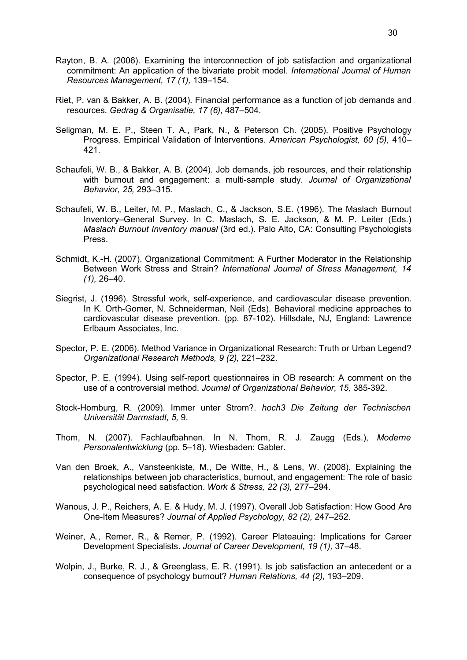- Rayton, B. A. (2006). Examining the interconnection of job satisfaction and organizational commitment: An application of the bivariate probit model. *International Journal of Human Resources Management, 17 (1),* 139–154.
- Riet, P. van & Bakker, A. B. (2004). Financial performance as a function of job demands and resources. *Gedrag & Organisatie, 17 (6),* 487–504.
- Seligman, M. E. P., Steen T. A., Park, N., & Peterson Ch. (2005). Positive Psychology Progress. Empirical Validation of Interventions. *American Psychologist, 60 (5),* 410– 421.
- Schaufeli, W. B., & Bakker, A. B. (2004). Job demands, job resources, and their relationship with burnout and engagement: a multi-sample study. *Journal of Organizational Behavior, 25,* 293–315.
- Schaufeli, W. B., Leiter, M. P., Maslach, C., & Jackson, S.E. (1996). The Maslach Burnout Inventory–General Survey. In C. Maslach, S. E. Jackson, & M. P. Leiter (Eds.) *Maslach Burnout Inventory manual* (3rd ed.). Palo Alto, CA: Consulting Psychologists Press.
- Schmidt, K.-H. (2007). Organizational Commitment: A Further Moderator in the Relationship Between Work Stress and Strain? *International Journal of Stress Management, 14 (1),* 26–40.
- Siegrist, J. (1996). Stressful work, self-experience, and cardiovascular disease prevention. In K. Orth-Gomer, N. Schneiderman, Neil (Eds). Behavioral medicine approaches to cardiovascular disease prevention. (pp. 87-102). Hillsdale, NJ, England: Lawrence Erlbaum Associates, Inc.
- [Spector, P. E.](http://ovidsp.tx.ovid.com.proxy.library.uu.nl/spb/ovidweb.cgi?&S=IFPBFPODLNDDHFNBNCFLCEMLEFKIAA00&Search+Link=%22Spector%2C+Paul+E%22.au.) (2006). Method Variance in Organizational Research: Truth or Urban Legend? *Organizational Research Methods, 9 (2),* 221–232.
- Spector, P. E. (1994). Using self-report questionnaires in OB research: A comment on the use of a controversial method. *Journal of Organizational Behavior, 15,* 385-392.
- Stock-Homburg, R. (2009). Immer unter Strom?. *hoch3 Die Zeitung der Technischen Universität Darmstadt, 5,* 9.
- Thom, N. (2007). Fachlaufbahnen. In N. Thom, R. J. Zaugg (Eds.), *Moderne Personalentwicklung* (pp. 5–18). Wiesbaden: Gabler.
- Van den Broek, A., Vansteenkiste, M., De Witte, H., & Lens, W. (2008). Explaining the relationships between job characteristics, burnout, and engagement: The role of basic psychological need satisfaction. *Work & Stress, 22 (3),* 277–294.
- Wanous, J. P., Reichers, A. E. & Hudy, M. J. (1997). Overall Job Satisfaction: How Good Are One-Item Measures? *Journal of Applied Psychology, 82 (2),* 247–252.
- Weiner, A., Remer, R., & Remer, P. (1992). Career Plateauing: Implications for Career Development Specialists. *Journal of Career Development, 19 (1),* 37–48.
- [Wolpin, J.,](http://ovidsp.tx.ovid.com.proxy.library.uu.nl/spb/ovidweb.cgi?&S=PAAIFPDBEIDDLFADNCFLLGJJJBCGAA00&Search+Link=%22Wolpin%2C+Jacob%22.au.) [Burke, R. J.](http://ovidsp.tx.ovid.com.proxy.library.uu.nl/spb/ovidweb.cgi?&S=PAAIFPDBEIDDLFADNCFLLGJJJBCGAA00&Search+Link=%22Burke%2C+Ronald+J%22.au.), & [Greenglass, E. R.](http://ovidsp.tx.ovid.com.proxy.library.uu.nl/spb/ovidweb.cgi?&S=PAAIFPDBEIDDLFADNCFLLGJJJBCGAA00&Search+Link=%22Greenglass%2C+Esther+R%22.au.) (1991). Is job satisfaction an antecedent or a consequence of psychology burnout? *Human Relations, 44 (2),* 193–209.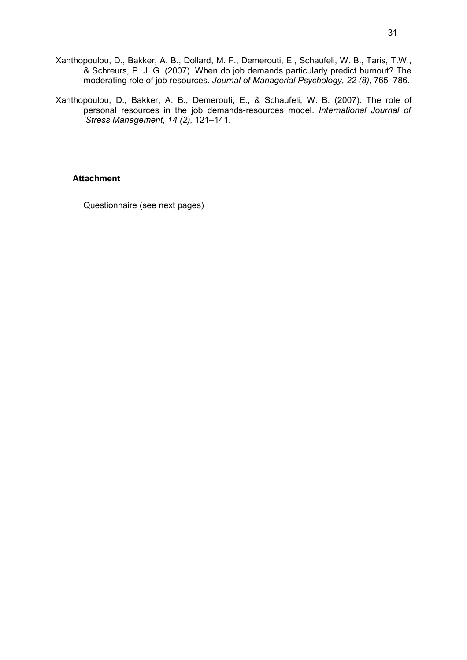- Xanthopoulou, D., Bakker, A. B., Dollard, M. F., Demerouti, E., Schaufeli, W. B., Taris, T.W., & Schreurs, P. J. G. (2007). When do job demands particularly predict burnout? The moderating role of job resources. *Journal of Managerial Psychology, 22 (8),* 765–786.
- Xanthopoulou, D., Bakker, A. B., Demerouti, E., & Schaufeli, W. B. (2007). The role of personal resources in the job demands-resources model. *International Journal of 'Stress Management, 14 (2),* 121–141.

### <span id="page-30-0"></span>**Attachment**

Questionnaire (see next pages)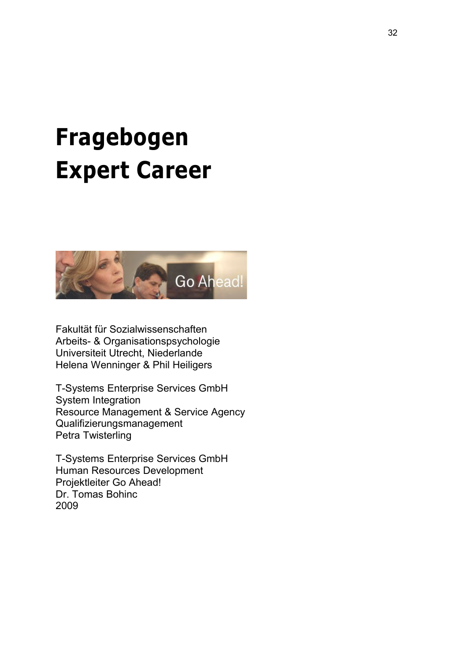# **Fragebogen Expert Career**



Fakultät für Sozialwissenschaften Arbeits- & Organisationspsychologie Universiteit Utrecht, Niederlande Helena Wenninger & Phil Heiligers

T-Systems Enterprise Services GmbH System Integration Resource Management & Service Agency Qualifizierungsmanagement Petra Twisterling

T-Systems Enterprise Services GmbH Human Resources Development Projektleiter Go Ahead! Dr. Tomas Bohinc 2009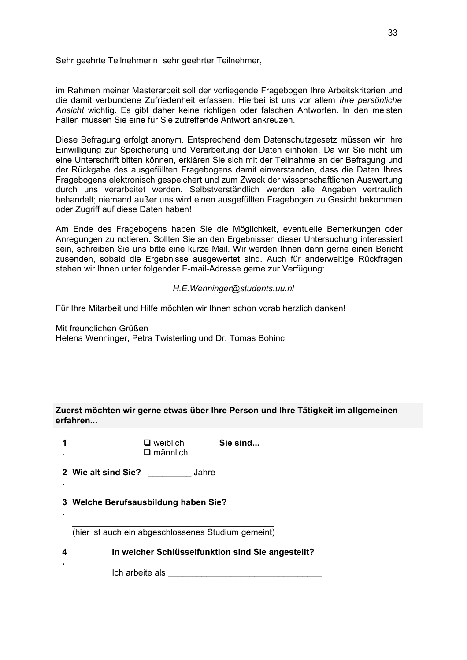Sehr geehrte Teilnehmerin, sehr geehrter Teilnehmer,

im Rahmen meiner Masterarbeit soll der vorliegende Fragebogen Ihre Arbeitskriterien und die damit verbundene Zufriedenheit erfassen. Hierbei ist uns vor allem *Ihre persönliche Ansicht* wichtig. Es gibt daher keine richtigen oder falschen Antworten. In den meisten Fällen müssen Sie eine für Sie zutreffende Antwort ankreuzen.

Diese Befragung erfolgt anonym. Entsprechend dem Datenschutzgesetz müssen wir Ihre Einwilligung zur Speicherung und Verarbeitung der Daten einholen. Da wir Sie nicht um eine Unterschrift bitten können, erklären Sie sich mit der Teilnahme an der Befragung und der Rückgabe des ausgefüllten Fragebogens damit einverstanden, dass die Daten Ihres Fragebogens elektronisch gespeichert und zum Zweck der wissenschaftlichen Auswertung durch uns verarbeitet werden. Selbstverständlich werden alle Angaben vertraulich behandelt; niemand außer uns wird einen ausgefüllten Fragebogen zu Gesicht bekommen oder Zugriff auf diese Daten haben!

Am Ende des Fragebogens haben Sie die Möglichkeit, eventuelle Bemerkungen oder Anregungen zu notieren. Sollten Sie an den Ergebnissen dieser Untersuchung interessiert sein, schreiben Sie uns bitte eine kurze Mail. Wir werden Ihnen dann gerne einen Bericht zusenden, sobald die Ergebnisse ausgewertet sind. Auch für anderweitige Rückfragen stehen wir Ihnen unter folgender E-mail-Adresse gerne zur Verfügung:

#### *H.E.Wenninger@students.uu.nl*

Für Ihre Mitarbeit und Hilfe möchten wir Ihnen schon vorab herzlich danken!

Mit freundlichen Grüßen Helena Wenninger, Petra Twisterling und Dr. Tomas Bohinc

# **Zuerst möchten wir gerne etwas über Ihre Person und Ihre Tätigkeit im allgemeinen erfahren...**

|   | Sie sind<br>$\Box$ weiblich<br>$\square$ männlich   |
|---|-----------------------------------------------------|
|   | 2 Wie alt sind Sie?<br>Jahre                        |
|   | 3 Welche Berufsausbildung haben Sie?                |
|   | (hier ist auch ein abgeschlossenes Studium gemeint) |
| 4 | In welcher Schlüsselfunktion sind Sie angestellt?   |
|   | Ich arbeite als                                     |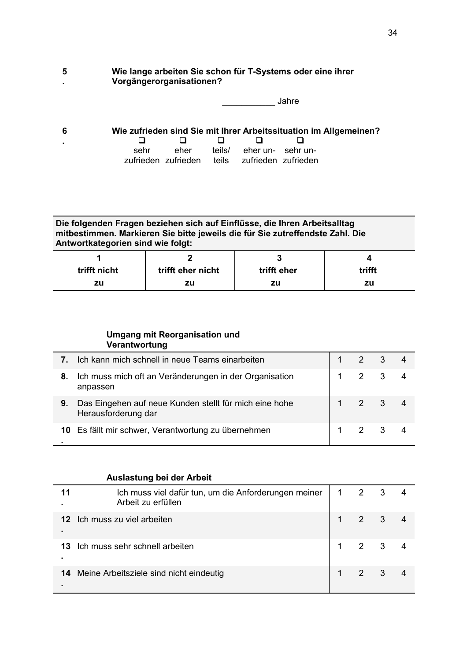#### **5 . Wie lange arbeiten Sie schon für T-Systems oder eine ihrer Vorgängerorganisationen?**

|  | Jahre |
|--|-------|
|--|-------|

| - 6 |                |                                               |                          | Wie zufrieden sind Sie mit Ihrer Arbeitssituation im Allgemeinen? |
|-----|----------------|-----------------------------------------------|--------------------------|-------------------------------------------------------------------|
|     | $\blacksquare$ |                                               |                          |                                                                   |
|     | sehr           | eher                                          | teils/ eher un- sehr un- |                                                                   |
|     |                | zufrieden zufrieden teils zufrieden zufrieden |                          |                                                                   |

# **Die folgenden Fragen beziehen sich auf Einflüsse, die Ihren Arbeitsalltag mitbestimmen. Markieren Sie bitte jeweils die für Sie zutreffendste Zahl. Die Antwortkategorien sind wie folgt:**

| trifft nicht | trifft eher nicht | trifft eher | trifft |
|--------------|-------------------|-------------|--------|
| zu           | zu                | zu          | zu     |

# **Umgang mit Reorganisation und Verantwortung**

|    | Ich kann mich schnell in neue Teams einarbeiten                               | $\mathcal{P}$  |      |  |
|----|-------------------------------------------------------------------------------|----------------|------|--|
| 8. | Ich muss mich oft an Veränderungen in der Organisation<br>anpassen            |                |      |  |
| 9. | Das Eingehen auf neue Kunden stellt für mich eine hohe<br>Herausforderung dar | 2              | $-3$ |  |
|    | 10 Es fällt mir schwer, Verantwortung zu übernehmen                           | $\overline{2}$ |      |  |

# **Auslastung bei der Arbeit**

| 11<br>٠         | Ich muss viel dafür tun, um die Anforderungen meiner<br>Arbeit zu erfüllen | 1 |                       | 3    |  |
|-----------------|----------------------------------------------------------------------------|---|-----------------------|------|--|
| 12 <sup>1</sup> | Ich muss zu viel arbeiten                                                  |   | $2 \quad 3$           |      |  |
| 13              | Ich muss sehr schnell arbeiten                                             |   | $2 \quad 3$           |      |  |
|                 | <b>14</b> Meine Arbeitsziele sind nicht eindeutig                          |   | $\mathbf{2}^{\prime}$ | $-3$ |  |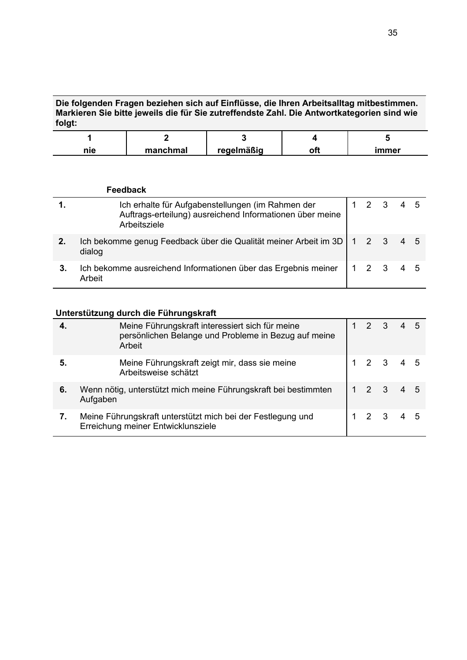# **Die folgenden Fragen beziehen sich auf Einflüsse, die Ihren Arbeitsalltag mitbestimmen. Markieren Sie bitte jeweils die für Sie zutreffendste Zahl. Die Antwortkategorien sind wie folgt:**

|     | —        |            |       |
|-----|----------|------------|-------|
| nie | manchmal | rogalmäßig | immer |

|    | Feedback                                                                                                                      |  |                   |     |  |
|----|-------------------------------------------------------------------------------------------------------------------------------|--|-------------------|-----|--|
|    | Ich erhalte für Aufgabenstellungen (im Rahmen der<br>Auftrags-erteilung) ausreichend Informationen über meine<br>Arbeitsziele |  | $1\quad 2\quad 3$ | 4 5 |  |
|    | Ich bekomme genug Feedback über die Qualität meiner Arbeit im 3D   1 2 3<br>dialog                                            |  |                   | 4 5 |  |
| 3. | Ich bekomme ausreichend Informationen über das Ergebnis meiner<br>Arbeit                                                      |  | 1 2 3             | 4 5 |  |

# **Unterstützung durch die Führungskraft**

|    | Meine Führungskraft interessiert sich für meine<br>persönlichen Belange und Probleme in Bezug auf meine<br>Arbeit | $2 \t3$ |         |  |
|----|-------------------------------------------------------------------------------------------------------------------|---------|---------|--|
| 5. | Meine Führungskraft zeigt mir, dass sie meine<br>Arbeitsweise schätzt                                             |         | 2 3 4 5 |  |
| 6. | Wenn nötig, unterstützt mich meine Führungskraft bei bestimmten<br>Aufgaben                                       |         | 2 3     |  |
|    | Meine Führungskraft unterstützt mich bei der Festlegung und<br>Erreichung meiner Entwicklunsziele                 |         | 2 3     |  |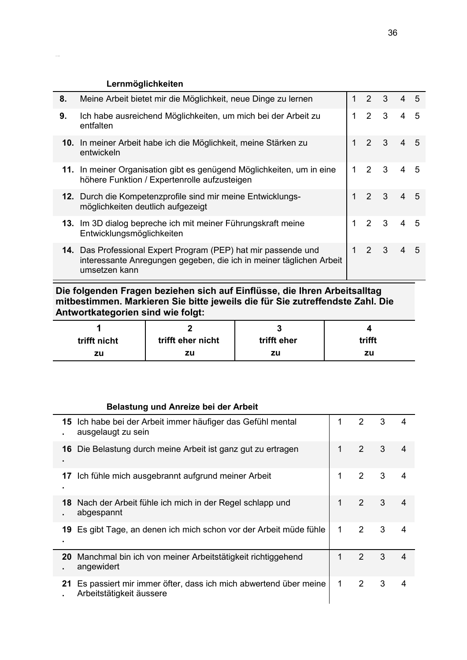# **Lernmöglichkeiten**

| 8. | Meine Arbeit bietet mir die Möglichkeit, neue Dinge zu lernen                                                                                          | $1\quad 2$ |                   | 3 <sup>2</sup>          | 4              | $\overline{5}$ |
|----|--------------------------------------------------------------------------------------------------------------------------------------------------------|------------|-------------------|-------------------------|----------------|----------------|
| 9. | Ich habe ausreichend Möglichkeiten, um mich bei der Arbeit zu<br>entfalten                                                                             |            | $\overline{2}$    | $\overline{\mathbf{3}}$ | 4              | 5              |
|    | 10. In meiner Arbeit habe ich die Möglichkeit, meine Stärken zu<br>entwickeln                                                                          |            | $2 \quad 3$       |                         | $\overline{4}$ | $\overline{5}$ |
|    | 11. In meiner Organisation gibt es genügend Möglichkeiten, um in eine<br>höhere Funktion / Expertenrolle aufzusteigen                                  |            | $\overline{2}$    | $\overline{\mathbf{3}}$ | 4              | .5             |
|    | 12. Durch die Kompetenzprofile sind mir meine Entwicklungs-<br>möglichkeiten deutlich aufgezeigt                                                       |            | $1\quad 2\quad 3$ |                         | $\overline{4}$ | $\overline{5}$ |
|    | 13. Im 3D dialog bepreche ich mit meiner Führungskraft meine<br>Entwicklungsmöglichkeiten                                                              |            | $\overline{2}$    | $\overline{\mathbf{3}}$ | 4              | 5              |
|    | 14. Das Professional Expert Program (PEP) hat mir passende und<br>interessante Anregungen gegeben, die ich in meiner täglichen Arbeit<br>umsetzen kann |            | $1\quad2\quad3$   |                         | $\overline{4}$ | $\overline{5}$ |

**Die folgenden Fragen beziehen sich auf Einflüsse, die Ihren Arbeitsalltag mitbestimmen. Markieren Sie bitte jeweils die für Sie zutreffendste Zahl. Die Antwortkategorien sind wie folgt:**

| trifft nicht | trifft eher nicht | trifft eher | trifft |
|--------------|-------------------|-------------|--------|
| zu           | zu                | zu          | zu     |

# **Belastung und Anreize bei der Arbeit**

| 15 | Ich habe bei der Arbeit immer häufiger das Gefühl mental<br>ausgelaugt zu sein              | 1 | 2 | 3 | 4              |
|----|---------------------------------------------------------------------------------------------|---|---|---|----------------|
| 16 | Die Belastung durch meine Arbeit ist ganz gut zu ertragen                                   | 1 | 2 | 3 | 4              |
| 17 | Ich fühle mich ausgebrannt aufgrund meiner Arbeit                                           | 1 | 2 | 3 | $\overline{4}$ |
| 18 | Nach der Arbeit fühle ich mich in der Regel schlapp und<br>abgespannt                       | 1 | 2 | 3 |                |
| 19 | Es gibt Tage, an denen ich mich schon vor der Arbeit müde fühle                             | 1 | 2 | 3 | 4              |
| 20 | Manchmal bin ich von meiner Arbeitstätigkeit richtiggehend<br>angewidert                    | 1 | 2 | 3 | 4              |
| 21 | Es passiert mir immer öfter, dass ich mich abwertend über meine<br>Arbeitstätigkeit äussere | 1 | 2 | 3 | Δ              |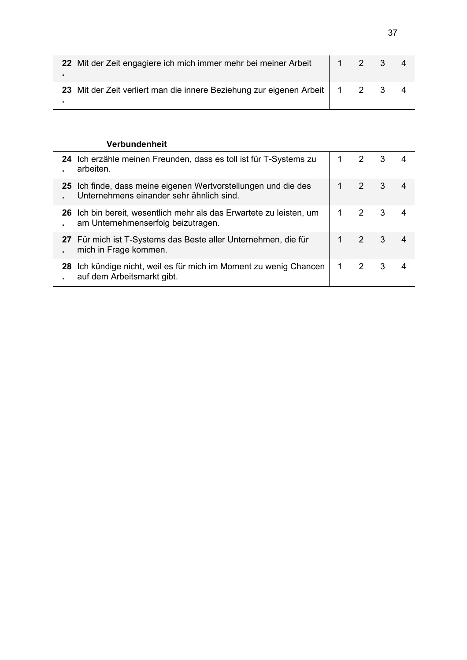| 22 Mit der Zeit engagiere ich mich immer mehr bei meiner Arbeit                | 1 1 2 3 4 |  |  |
|--------------------------------------------------------------------------------|-----------|--|--|
| 23 Mit der Zeit verliert man die innere Beziehung zur eigenen Arbeit   1 2 3 4 |           |  |  |

# **Verbundenheit**

 $\overline{a}$ 

|    | 24 Ich erzähle meinen Freunden, dass es toll ist für T-Systems zu<br>arbeiten.                             |    | 2           | - 3 |    |
|----|------------------------------------------------------------------------------------------------------------|----|-------------|-----|----|
|    | 25 Ich finde, dass meine eigenen Wertvorstellungen und die des<br>Unternehmens einander sehr ähnlich sind. |    | $2 \quad 3$ |     |    |
|    | 26 Ich bin bereit, wesentlich mehr als das Erwartete zu leisten, um<br>am Unternehmenserfolg beizutragen.  |    | 2 3         |     |    |
|    | 27 Für mich ist T-Systems das Beste aller Unternehmen, die für<br>mich in Frage kommen.                    |    | $2 \quad 3$ |     | -4 |
| 28 | Ich kündige nicht, weil es für mich im Moment zu wenig Chancen<br>auf dem Arbeitsmarkt gibt.               | 1. | 2           | - 3 |    |